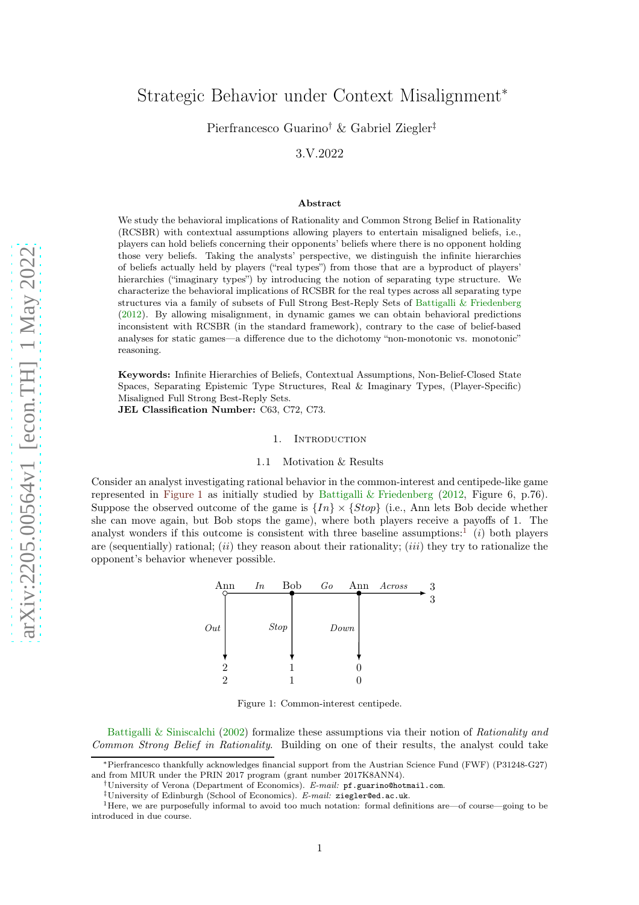# <span id="page-0-3"></span>Strategic Behavior under Context Misalignment<sup>∗</sup>

Pierfrancesco Guarino† & Gabriel Ziegler‡

3.V.2022

#### Abstract

We study the behavioral implications of Rationality and Common Strong Belief in Rationality (RCSBR) with contextual assumptions allowing players to entertain misaligned beliefs, i.e., players can hold beliefs concerning their opponents' beliefs where there is no opponent holding those very beliefs. Taking the analysts' perspective, we distinguish the infinite hierarchies of beliefs actually held by players ("real types") from those that are a byproduct of players' hierarchies ("imaginary types") by introducing the notion of separating type structure. We characterize the behavioral implications of RCSBR for the real types across all separating type structures via a family of subsets of Full Strong Best-Reply Sets of [Battigalli & Friedenberg](#page-22-0) [\(2012](#page-22-0)). By allowing misalignment, in dynamic games we can obtain behavioral predictions inconsistent with RCSBR (in the standard framework), contrary to the case of belief-based analyses for static games—a difference due to the dichotomy "non-monotonic vs. monotonic" reasoning.

Keywords: Infinite Hierarchies of Beliefs, Contextual Assumptions, Non-Belief-Closed State Spaces, Separating Epistemic Type Structures, Real & Imaginary Types, (Player-Specific) Misaligned Full Strong Best-Reply Sets.

JEL Classification Number: C63, C72, C73.

## 1. INTRODUCTION

## 1.1 Motivation & Results

<span id="page-0-2"></span><span id="page-0-0"></span>Consider an analyst investigating rational behavior in the common-interest and centipede-like game represented in [Figure 1](#page-0-0) as initially studied by [Battigalli & Friedenberg](#page-22-0) [\(2012,](#page-22-0) Figure 6, p.76). Suppose the observed outcome of the game is  $\{In\} \times \{Stop\}$  (i.e., Ann lets Bob decide whether she can move again, but Bob stops the game), where both players receive a payoffs of 1. The analyst wonders if this outcome is consistent with three baseline assumptions:<sup>[1](#page-0-1)</sup> (i) both players are (sequentially) rational;  $(ii)$  they reason about their rationality;  $(iii)$  they try to rationalize the opponent's behavior whenever possible.



Figure 1: Common-interest centipede.

[Battigalli & Siniscalchi](#page-22-1) [\(2002\)](#page-22-1) formalize these assumptions via their notion of Rationality and Common Strong Belief in Rationality. Building on one of their results, the analyst could take

<sup>∗</sup>Pierfrancesco thankfully acknowledges financial support from the Austrian Science Fund (FWF) (P31248-G27) and from MIUR under the PRIN 2017 program (grant number 2017K8ANN4).

<sup>†</sup>University of Verona (Department of Economics). E-mail: pf.guarino@hotmail.com.

<sup>&</sup>lt;sup>‡</sup>University of Edinburgh (School of Economics). E-mail: ziegler@ed.ac.uk.

<span id="page-0-1"></span><sup>1</sup>Here, we are purposefully informal to avoid too much notation: formal definitions are—of course—going to be introduced in due course.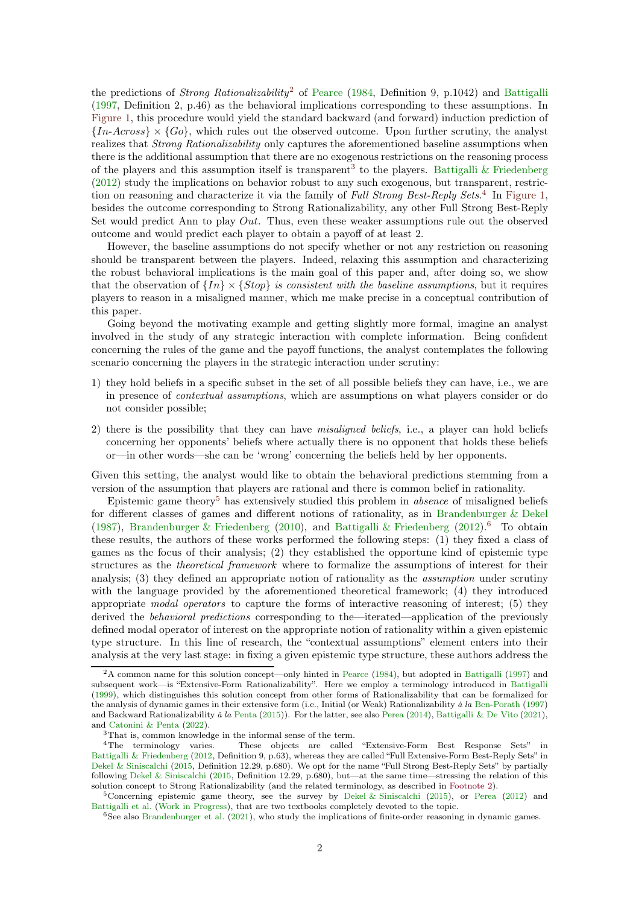<span id="page-1-5"></span>the predictions of *Strong Rationalizability*<sup>[2](#page-1-0)</sup> of [Pearce](#page-23-0) [\(1984](#page-23-0), Definition 9, p.1042) and [Battigalli](#page-22-2) [\(1997,](#page-22-2) Definition 2, p.46) as the behavioral implications corresponding to these assumptions. In [Figure 1,](#page-0-0) this procedure would yield the standard backward (and forward) induction prediction of  ${In-Across} \times {Go}$ , which rules out the observed outcome. Upon further scrutiny, the analyst realizes that Strong Rationalizability only captures the aforementioned baseline assumptions when there is the additional assumption that there are no exogenous restrictions on the reasoning process of the players and this assumption itself is transparent<sup>[3](#page-1-1)</sup> to the players. [Battigalli & Friedenberg](#page-22-0) [\(2012\)](#page-22-0) study the implications on behavior robust to any such exogenous, but transparent, restric-tion on reasoning and characterize it via the family of Full Strong Best-Reply Sets.<sup>[4](#page-1-2)</sup> In [Figure 1,](#page-0-0) besides the outcome corresponding to Strong Rationalizability, any other Full Strong Best-Reply Set would predict Ann to play  $Out$ . Thus, even these weaker assumptions rule out the observed outcome and would predict each player to obtain a payoff of at least 2.

However, the baseline assumptions do not specify whether or not any restriction on reasoning should be transparent between the players. Indeed, relaxing this assumption and characterizing the robust behavioral implications is the main goal of this paper and, after doing so, we show that the observation of  $\{In\} \times \{Stop\}$  is consistent with the baseline assumptions, but it requires players to reason in a misaligned manner, which me make precise in a conceptual contribution of this paper.

Going beyond the motivating example and getting slightly more formal, imagine an analyst involved in the study of any strategic interaction with complete information. Being confident concerning the rules of the game and the payoff functions, the analyst contemplates the following scenario concerning the players in the strategic interaction under scrutiny:

- 1) they hold beliefs in a specific subset in the set of all possible beliefs they can have, i.e., we are in presence of contextual assumptions, which are assumptions on what players consider or do not consider possible;
- 2) there is the possibility that they can have misaligned beliefs, i.e., a player can hold beliefs concerning her opponents' beliefs where actually there is no opponent that holds these beliefs or—in other words—she can be 'wrong' concerning the beliefs held by her opponents.

Given this setting, the analyst would like to obtain the behavioral predictions stemming from a version of the assumption that players are rational and there is common belief in rationality.

Epistemic game theory<sup>[5](#page-1-3)</sup> has extensively studied this problem in *absence* of misaligned beliefs for different classes of games and different notions of rationality, as in [Brandenburger & Dekel](#page-22-3) [\(1987\)](#page-22-3), [Brandenburger & Friedenberg](#page-23-1) [\(2010\)](#page-23-1), and [Battigalli & Friedenberg](#page-22-0) [\(2012\)](#page-22-0).<sup>[6](#page-1-4)</sup> To obtain these results, the authors of these works performed the following steps: (1) they fixed a class of games as the focus of their analysis; (2) they established the opportune kind of epistemic type structures as the theoretical framework where to formalize the assumptions of interest for their analysis; (3) they defined an appropriate notion of rationality as the assumption under scrutiny with the language provided by the aforementioned theoretical framework; (4) they introduced appropriate modal operators to capture the forms of interactive reasoning of interest; (5) they derived the behavioral predictions corresponding to the—iterated—application of the previously defined modal operator of interest on the appropriate notion of rationality within a given epistemic type structure. In this line of research, the "contextual assumptions" element enters into their analysis at the very last stage: in fixing a given epistemic type structure, these authors address the

<span id="page-1-0"></span><sup>2</sup>A common name for this solution concept—only hinted in [Pearce](#page-23-0) [\(1984](#page-23-0)), but adopted in [Battigalli](#page-22-2) [\(1997](#page-22-2)) and subsequent work—is "Extensive-Form Rationalizability". Here we employ a terminology introduced in [Battigalli](#page-22-4) [\(1999](#page-22-4)), which distinguishes this solution concept from other forms of Rationalizability that can be formalized for the analysis of dynamic games in their extensive form (i.e., Initial (or Weak) Rationalizability à la [Ben-Porath](#page-22-5) [\(1997](#page-22-5)) and Backward Rationalizability à la [Penta](#page-23-2) [\(2015](#page-23-2))). For the latter, see also [Perea](#page-23-3) [\(2014](#page-23-3)), [Battigalli & De Vito](#page-22-6) [\(2021](#page-22-6)), and [Catonini & Penta](#page-23-4) [\(2022](#page-23-4)).

<span id="page-1-1"></span> $3$ That is, common knowledge in the informal sense of the term.  $4$ The terminology varies. These objects are called

<span id="page-1-2"></span>These objects are called "Extensive-Form Best Response Sets" in [Battigalli & Friedenberg](#page-22-0) [\(2012,](#page-22-0) Definition 9, p.63), whereas they are called "Full Extensive-Form Best-Reply Sets" in [Dekel & Siniscalchi](#page-23-5) [\(2015](#page-23-5), Definition 12.29, p.680). We opt for the name "Full Strong Best-Reply Sets" by partially following [Dekel & Siniscalchi](#page-23-5) [\(2015](#page-23-5), Definition 12.29, p.680), but—at the same time—stressing the relation of this solution concept to Strong Rationalizability (and the related terminology, as described in [Footnote 2\)](#page-1-0).

<sup>&</sup>lt;sup>5</sup>Concerning epistemic game theory, see the survey by [Dekel & Siniscalchi](#page-23-5) [\(2015](#page-23-5)), or [Perea](#page-23-6) [\(2012\)](#page-23-6) and [Battigalli et al.](#page-22-7) [\(Work in Progress](#page-22-7)), that are two textbooks completely devoted to the topic.

<span id="page-1-4"></span><span id="page-1-3"></span><sup>6</sup>See also [Brandenburger et al.](#page-22-8) [\(2021](#page-22-8)), who study the implications of finite-order reasoning in dynamic games.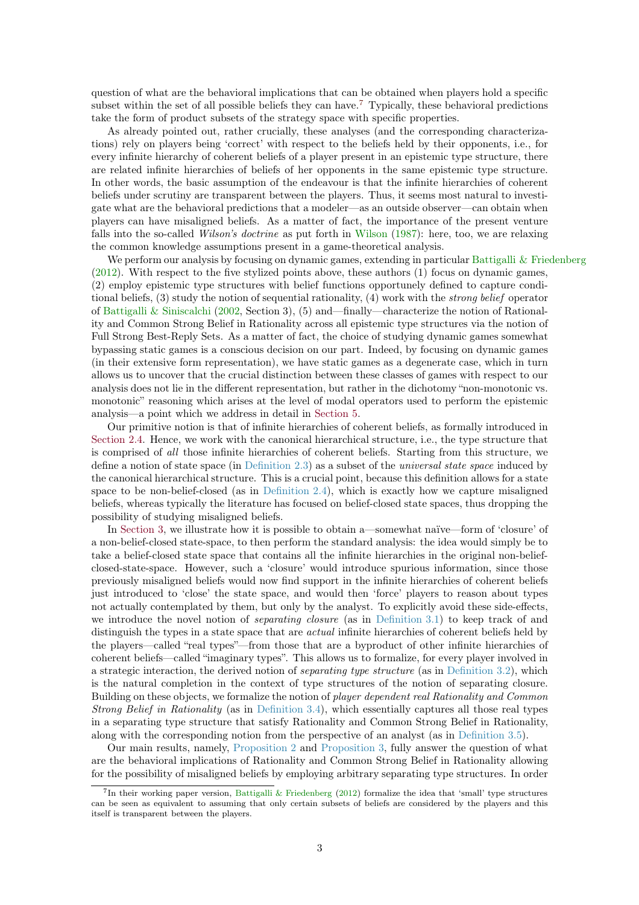<span id="page-2-1"></span>question of what are the behavioral implications that can be obtained when players hold a specific subset within the set of all possible beliefs they can have.<sup>[7](#page-2-0)</sup> Typically, these behavioral predictions take the form of product subsets of the strategy space with specific properties.

As already pointed out, rather crucially, these analyses (and the corresponding characterizations) rely on players being 'correct' with respect to the beliefs held by their opponents, i.e., for every infinite hierarchy of coherent beliefs of a player present in an epistemic type structure, there are related infinite hierarchies of beliefs of her opponents in the same epistemic type structure. In other words, the basic assumption of the endeavour is that the infinite hierarchies of coherent beliefs under scrutiny are transparent between the players. Thus, it seems most natural to investigate what are the behavioral predictions that a modeler—as an outside observer—can obtain when players can have misaligned beliefs. As a matter of fact, the importance of the present venture falls into the so-called *[Wilson](#page-24-0)'s doctrine* as put forth in Wilson [\(1987\)](#page-24-0): here, too, we are relaxing the common knowledge assumptions present in a game-theoretical analysis.

We perform our analysis by focusing on dynamic games, extending in particular [Battigalli & Friedenberg](#page-22-0) [\(2012\)](#page-22-0). With respect to the five stylized points above, these authors (1) focus on dynamic games, (2) employ epistemic type structures with belief functions opportunely defined to capture conditional beliefs, (3) study the notion of sequential rationality, (4) work with the strong belief operator of [Battigalli & Siniscalchi](#page-22-1) [\(2002](#page-22-1), Section 3), (5) and—finally—characterize the notion of Rationality and Common Strong Belief in Rationality across all epistemic type structures via the notion of Full Strong Best-Reply Sets. As a matter of fact, the choice of studying dynamic games somewhat bypassing static games is a conscious decision on our part. Indeed, by focusing on dynamic games (in their extensive form representation), we have static games as a degenerate case, which in turn allows us to uncover that the crucial distinction between these classes of games with respect to our analysis does not lie in the different representation, but rather in the dichotomy "non-monotonic vs. monotonic" reasoning which arises at the level of modal operators used to perform the epistemic analysis—a point which we address in detail in [Section 5.](#page-17-0)

Our primitive notion is that of infinite hierarchies of coherent beliefs, as formally introduced in [Section 2.4.](#page-7-0) Hence, we work with the canonical hierarchical structure, i.e., the type structure that is comprised of all those infinite hierarchies of coherent beliefs. Starting from this structure, we define a notion of state space (in [Definition 2.3\)](#page-10-0) as a subset of the universal state space induced by the canonical hierarchical structure. This is a crucial point, because this definition allows for a state space to be non-belief-closed (as in [Definition 2.4\)](#page-11-0), which is exactly how we capture misaligned beliefs, whereas typically the literature has focused on belief-closed state spaces, thus dropping the possibility of studying misaligned beliefs.

In [Section 3,](#page-12-0) we illustrate how it is possible to obtain a—somewhat naïve—form of 'closure' of a non-belief-closed state-space, to then perform the standard analysis: the idea would simply be to take a belief-closed state space that contains all the infinite hierarchies in the original non-beliefclosed-state-space. However, such a 'closure' would introduce spurious information, since those previously misaligned beliefs would now find support in the infinite hierarchies of coherent beliefs just introduced to 'close' the state space, and would then 'force' players to reason about types not actually contemplated by them, but only by the analyst. To explicitly avoid these side-effects, we introduce the novel notion of *separating closure* (as in [Definition 3.1\)](#page-13-0) to keep track of and distinguish the types in a state space that are *actual* infinite hierarchies of coherent beliefs held by the players—called "real types"—from those that are a byproduct of other infinite hierarchies of coherent beliefs—called "imaginary types". This allows us to formalize, for every player involved in a strategic interaction, the derived notion of separating type structure (as in [Definition 3.2\)](#page-13-1), which is the natural completion in the context of type structures of the notion of separating closure. Building on these objects, we formalize the notion of *player dependent real Rationality and Common* Strong Belief in Rationality (as in [Definition 3.4\)](#page-14-0), which essentially captures all those real types in a separating type structure that satisfy Rationality and Common Strong Belief in Rationality, along with the corresponding notion from the perspective of an analyst (as in [Definition 3.5\)](#page-15-0).

Our main results, namely, [Proposition 2](#page-16-0) and [Proposition 3,](#page-17-1) fully answer the question of what are the behavioral implications of Rationality and Common Strong Belief in Rationality allowing for the possibility of misaligned beliefs by employing arbitrary separating type structures. In order

<span id="page-2-0"></span><sup>7</sup> In their working paper version, [Battigalli & Friedenberg](#page-22-0) [\(2012\)](#page-22-0) formalize the idea that 'small' type structures can be seen as equivalent to assuming that only certain subsets of beliefs are considered by the players and this itself is transparent between the players.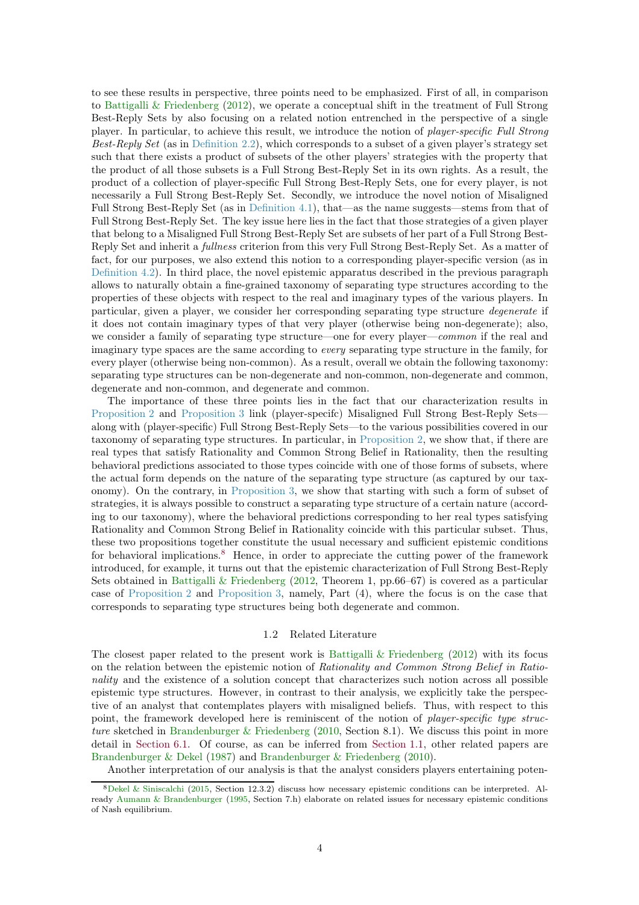<span id="page-3-1"></span>to see these results in perspective, three points need to be emphasized. First of all, in comparison to [Battigalli & Friedenberg](#page-22-0) [\(2012](#page-22-0)), we operate a conceptual shift in the treatment of Full Strong Best-Reply Sets by also focusing on a related notion entrenched in the perspective of a single player. In particular, to achieve this result, we introduce the notion of player-specific Full Strong Best-Reply Set (as in [Definition 2.2\)](#page-7-1), which corresponds to a subset of a given player's strategy set such that there exists a product of subsets of the other players' strategies with the property that the product of all those subsets is a Full Strong Best-Reply Set in its own rights. As a result, the product of a collection of player-specific Full Strong Best-Reply Sets, one for every player, is not necessarily a Full Strong Best-Reply Set. Secondly, we introduce the novel notion of Misaligned Full Strong Best-Reply Set (as in [Definition 4.1\)](#page-15-1), that—as the name suggests—stems from that of Full Strong Best-Reply Set. The key issue here lies in the fact that those strategies of a given player that belong to a Misaligned Full Strong Best-Reply Set are subsets of her part of a Full Strong Best-Reply Set and inherit a fullness criterion from this very Full Strong Best-Reply Set. As a matter of fact, for our purposes, we also extend this notion to a corresponding player-specific version (as in [Definition 4.2\)](#page-16-1). In third place, the novel epistemic apparatus described in the previous paragraph allows to naturally obtain a fine-grained taxonomy of separating type structures according to the properties of these objects with respect to the real and imaginary types of the various players. In particular, given a player, we consider her corresponding separating type structure degenerate if it does not contain imaginary types of that very player (otherwise being non-degenerate); also, we consider a family of separating type structure—one for every player—*common* if the real and imaginary type spaces are the same according to every separating type structure in the family, for every player (otherwise being non-common). As a result, overall we obtain the following taxonomy: separating type structures can be non-degenerate and non-common, non-degenerate and common, degenerate and non-common, and degenerate and common.

The importance of these three points lies in the fact that our characterization results in [Proposition 2](#page-16-0) and [Proposition 3](#page-17-1) link (player-specifc) Misaligned Full Strong Best-Reply Sets along with (player-specific) Full Strong Best-Reply Sets—to the various possibilities covered in our taxonomy of separating type structures. In particular, in [Proposition 2,](#page-16-0) we show that, if there are real types that satisfy Rationality and Common Strong Belief in Rationality, then the resulting behavioral predictions associated to those types coincide with one of those forms of subsets, where the actual form depends on the nature of the separating type structure (as captured by our taxonomy). On the contrary, in [Proposition 3,](#page-17-1) we show that starting with such a form of subset of strategies, it is always possible to construct a separating type structure of a certain nature (according to our taxonomy), where the behavioral predictions corresponding to her real types satisfying Rationality and Common Strong Belief in Rationality coincide with this particular subset. Thus, these two propositions together constitute the usual necessary and sufficient epistemic conditions for behavioral implications.<sup>[8](#page-3-0)</sup> Hence, in order to appreciate the cutting power of the framework introduced, for example, it turns out that the epistemic characterization of Full Strong Best-Reply Sets obtained in [Battigalli & Friedenberg](#page-22-0) [\(2012,](#page-22-0) Theorem 1, pp.66–67) is covered as a particular case of [Proposition 2](#page-16-0) and [Proposition 3,](#page-17-1) namely, Part (4), where the focus is on the case that corresponds to separating type structures being both degenerate and common.

# 1.2 Related Literature

The closest paper related to the present work is [Battigalli & Friedenberg](#page-22-0)  $(2012)$  $(2012)$  with its focus on the relation between the epistemic notion of Rationality and Common Strong Belief in Rationality and the existence of a solution concept that characterizes such notion across all possible epistemic type structures. However, in contrast to their analysis, we explicitly take the perspective of an analyst that contemplates players with misaligned beliefs. Thus, with respect to this point, the framework developed here is reminiscent of the notion of *player-specific type struc*ture sketched in [Brandenburger & Friedenberg](#page-23-1) [\(2010,](#page-23-1) Section 8.1). We discuss this point in more detail in [Section 6.1.](#page-19-0) Of course, as can be inferred from [Section 1.1,](#page-0-2) other related papers are [Brandenburger & Dekel](#page-22-3) [\(1987\)](#page-22-3) and [Brandenburger & Friedenberg](#page-23-1) [\(2010\)](#page-23-1).

Another interpretation of our analysis is that the analyst considers players entertaining poten-

<span id="page-3-0"></span><sup>8</sup>[Dekel & Siniscalchi](#page-23-5) [\(2015](#page-23-5), Section 12.3.2) discuss how necessary epistemic conditions can be interpreted. Already [Aumann & Brandenburger](#page-22-9) [\(1995,](#page-22-9) Section 7.h) elaborate on related issues for necessary epistemic conditions of Nash equilibrium.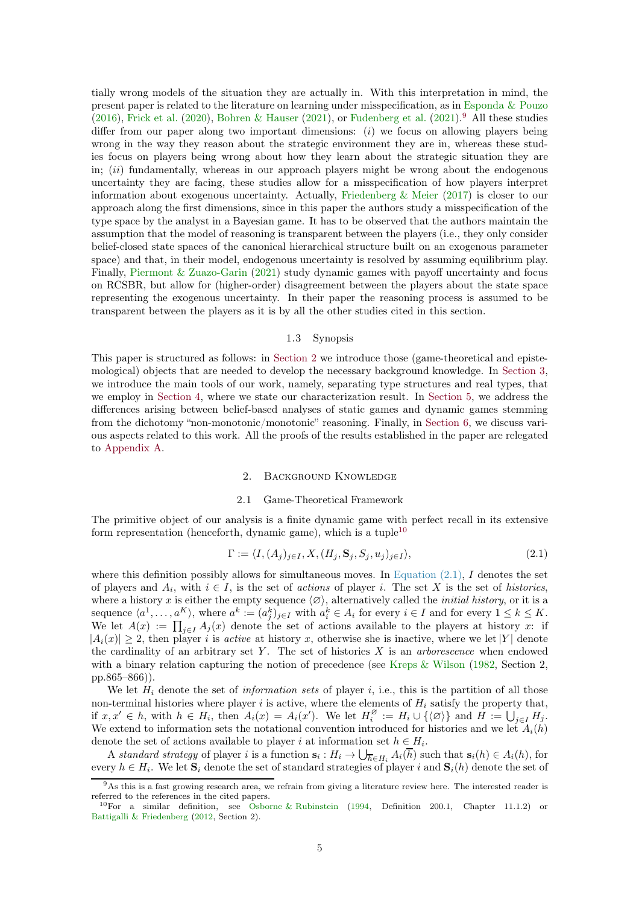<span id="page-4-4"></span>tially wrong models of the situation they are actually in. With this interpretation in mind, the present paper is related to the literature on learning under misspecification, as in [Esponda & Pouzo](#page-23-7) [\(2016\)](#page-23-7), [Frick et al.](#page-23-8) [\(2020\)](#page-23-8), [Bohren & Hauser](#page-22-10) [\(2021\)](#page-23-9), or [Fudenberg et al.](#page-23-9) (2021).<sup>[9](#page-4-0)</sup> All these studies differ from our paper along two important dimensions: (i) we focus on allowing players being wrong in the way they reason about the strategic environment they are in, whereas these studies focus on players being wrong about how they learn about the strategic situation they are in;  $(ii)$  fundamentally, whereas in our approach players might be wrong about the endogenous uncertainty they are facing, these studies allow for a misspecification of how players interpret information about exogenous uncertainty. Actually, [Friedenberg & Meier](#page-23-10)  $(2017)$  is closer to our approach along the first dimensions, since in this paper the authors study a misspecification of the type space by the analyst in a Bayesian game. It has to be observed that the authors maintain the assumption that the model of reasoning is transparent between the players (i.e., they only consider belief-closed state spaces of the canonical hierarchical structure built on an exogenous parameter space) and that, in their model, endogenous uncertainty is resolved by assuming equilibrium play. Finally, [Piermont & Zuazo-Garin](#page-23-11) [\(2021\)](#page-23-11) study dynamic games with payoff uncertainty and focus on RCSBR, but allow for (higher-order) disagreement between the players about the state space representing the exogenous uncertainty. In their paper the reasoning process is assumed to be transparent between the players as it is by all the other studies cited in this section.

# 1.3 Synopsis

This paper is structured as follows: in [Section 2](#page-4-1) we introduce those (game-theoretical and epistemological) objects that are needed to develop the necessary background knowledge. In [Section 3,](#page-12-0) we introduce the main tools of our work, namely, separating type structures and real types, that we employ in [Section 4,](#page-15-2) where we state our characterization result. In [Section 5,](#page-17-0) we address the differences arising between belief-based analyses of static games and dynamic games stemming from the dichotomy "non-monotonic/monotonic" reasoning. Finally, in [Section 6,](#page-19-1) we discuss various aspects related to this work. All the proofs of the results established in the paper are relegated to [Appendix A.](#page-20-0)

# 2. Background Knowledge

#### 2.1 Game-Theoretical Framework

<span id="page-4-1"></span>The primitive object of our analysis is a finite dynamic game with perfect recall in its extensive form representation (henceforth, dynamic game), which is a tuple<sup>[10](#page-4-2)</sup>

<span id="page-4-3"></span>
$$
\Gamma := \langle I, (A_j)_{j \in I}, X, (H_j, \mathbf{S}_j, S_j, u_j)_{j \in I} \rangle, \tag{2.1}
$$

where this definition possibly allows for simultaneous moves. In Equation  $(2.1)$ , I denotes the set of players and  $A_i$ , with  $i \in I$ , is the set of actions of player i. The set X is the set of histories, where a history x is either the empty sequence  $\langle \varnothing \rangle$ , alternatively called the *initial history*, or it is a sequence  $\langle a^1, \ldots, a^K \rangle$ , where  $a^k := (a_j^k)_{j \in I}$  with  $a_i^k \in A_i$  for every  $i \in I$  and for every  $1 \leq k \leq K$ . We let  $A(x) := \prod_{j \in I} A_j(x)$  denote the set of actions available to the players at history x: if  $|A_i(x)| \geq 2$ , then player i is active at history x, otherwise she is inactive, where we let |Y| denote the cardinality of an arbitrary set Y. The set of histories  $X$  is an *arborescence* when endowed with a binary relation capturing the notion of precedence (see [Kreps & Wilson](#page-23-12) [\(1982,](#page-23-12) Section 2, pp.865–866)).

We let  $H_i$  denote the set of *information sets* of player i, i.e., this is the partition of all those non-terminal histories where player i is active, where the elements of  $H_i$  satisfy the property that, if  $x, x' \in h$ , with  $h \in H_i$ , then  $A_i(x) = A_i(x')$ . We let  $H_i^{\varnothing}$  $\mathcal{L}_{i}^{\varnothing} := H_{i} \cup \{ \langle \varnothing \rangle \}$  and  $H := \bigcup_{j \in I} H_{j}$ . We extend to information sets the notational convention introduced for histories and we let  $A_i(h)$ denote the set of actions available to player i at information set  $h \in H_i$ .

A standard strategy of player i is a function  $\mathbf{s}_i : H_i \to \bigcup_{\overline{h} \in H_i} A_i(\overline{h})$  such that  $\mathbf{s}_i(h) \in A_i(h)$ , for every  $h \in H_i$ . We let  $S_i$  denote the set of standard strategies of player i and  $S_i(h)$  denote the set of

<sup>&</sup>lt;sup>9</sup>As this is a fast growing research area, we refrain from giving a literature review here. The interested reader is referred to the references in the cited papers.

<span id="page-4-2"></span><span id="page-4-0"></span><sup>&</sup>lt;sup>10</sup>For a similar definition, see [Osborne & Rubinstein](#page-23-13) [\(1994](#page-23-13), Definition 200.1, Chapter 11.1.2) or [Battigalli & Friedenberg](#page-22-0) [\(2012](#page-22-0), Section 2).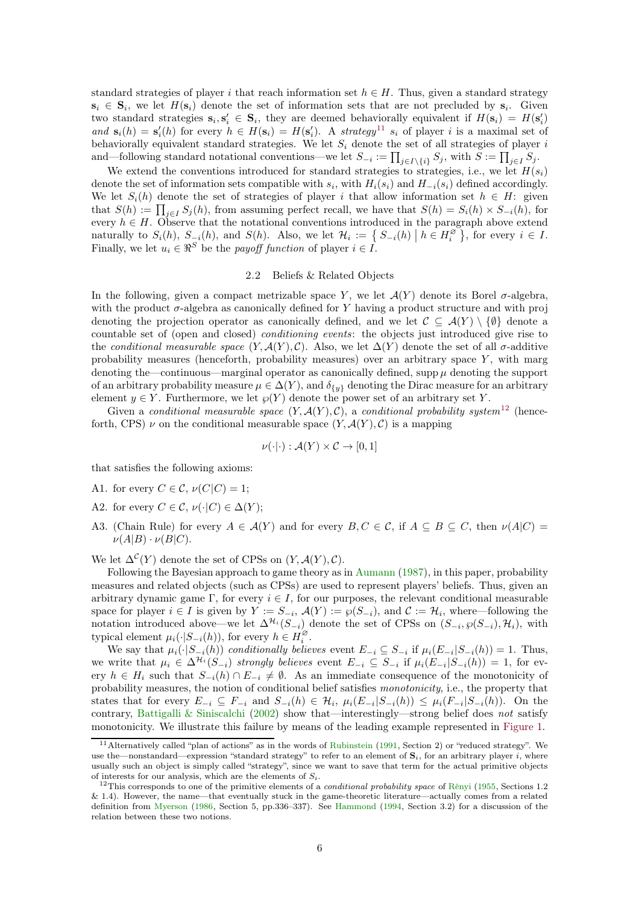<span id="page-5-4"></span>standard strategies of player i that reach information set  $h \in H$ . Thus, given a standard strategy  $s_i \in S_i$ , we let  $H(s_i)$  denote the set of information sets that are not precluded by  $s_i$ . Given two standard strategies  $\mathbf{s}_i, \mathbf{s}'_i \in \mathbf{S}_i$ , they are deemed behaviorally equivalent if  $H(\mathbf{s}_i) = H(\mathbf{s}'_i)$ and  $s_i(h) = s'_i(h)$  for every  $h \in H(s_i) = H(s'_i)$ . A strategy<sup>[11](#page-5-0)</sup>  $s_i$  of player i is a maximal set of behaviorally equivalent standard strategies. We let  $S_i$  denote the set of all strategies of player i and—following standard notational conventions—we let  $S_{-i} := \prod_{j \in I \setminus \{i\}} S_j$ , with  $S := \prod_{j \in I} S_j$ .

We extend the conventions introduced for standard strategies to strategies, i.e., we let  $H(s_i)$ denote the set of information sets compatible with  $s_i$ , with  $H_i(s_i)$  and  $H_{-i}(s_i)$  defined accordingly. We let  $S_i(h)$  denote the set of strategies of player i that allow information set  $h \in H$ : given that  $S(h) := \prod_{j \in I} S_j(h)$ , from assuming perfect recall, we have that  $S(h) = S_i(h) \times S_{-i}(h)$ , for every  $h \in H$ . Observe that the notational conventions introduced in the paragraph above extend naturally to  $S_i(h)$ ,  $S_{i}(h)$ , and  $S(h)$ . Also, we let  $\mathcal{H}_i := \{ S_{-i}(h) \mid h \in H_i^{\varnothing}\}$  $\begin{bmatrix} \overline{\varnothing} \\ i \end{bmatrix}$ , for every  $i \in I$ . Finally, we let  $u_i \in \mathbb{R}^S$  be the *payoff function* of player  $i \in I$ .

# 2.2 Beliefs & Related Objects

<span id="page-5-2"></span>In the following, given a compact metrizable space Y, we let  $\mathcal{A}(Y)$  denote its Borel  $\sigma$ -algebra, with the product  $\sigma$ -algebra as canonically defined for Y having a product structure and with proj denoting the projection operator as canonically defined, and we let  $\mathcal{C} \subseteq \mathcal{A}(Y) \setminus \{\emptyset\}$  denote a countable set of (open and closed) conditioning events: the objects just introduced give rise to the conditional measurable space  $(Y, \mathcal{A}(Y), \mathcal{C})$ . Also, we let  $\Delta(Y)$  denote the set of all  $\sigma$ -additive probability measures (henceforth, probability measures) over an arbitrary space  $Y$ , with marg denoting the—continuous—marginal operator as canonically defined, supp  $\mu$  denoting the support of an arbitrary probability measure  $\mu \in \Delta(Y)$ , and  $\delta_{\{y\}}$  denoting the Dirac measure for an arbitrary element  $y \in Y$ . Furthermore, we let  $\wp(Y)$  denote the power set of an arbitrary set Y.

Given a conditional measurable space  $(Y, \mathcal{A}(Y), \mathcal{C})$ , a conditional probability system<sup>[12](#page-5-1)</sup> (henceforth, CPS)  $\nu$  on the conditional measurable space  $(Y, \mathcal{A}(Y), \mathcal{C})$  is a mapping

$$
\nu(\cdot|\cdot): \mathcal{A}(Y) \times \mathcal{C} \to [0,1]
$$

that satisfies the following axioms:

- A1. for every  $C \in \mathcal{C}$ ,  $\nu(C|C) = 1$ ;
- A2. for every  $C \in \mathcal{C}$ ,  $\nu(\cdot|C) \in \Delta(Y)$ ;
- A3. (Chain Rule) for every  $A \in \mathcal{A}(Y)$  and for every  $B, C \in \mathcal{C}$ , if  $A \subseteq B \subseteq C$ , then  $\nu(A|C)$  $\nu(A|B) \cdot \nu(B|C)$ .

We let  $\Delta^{\mathcal{C}}(Y)$  denote the set of CPSs on  $(Y, \mathcal{A}(Y), \mathcal{C})$ .

Following the Bayesian approach to game theory as in [Aumann](#page-22-11) [\(1987\)](#page-22-11), in this paper, probability measures and related objects (such as CPSs) are used to represent players' beliefs. Thus, given an arbitrary dynamic game Γ, for every  $i \in I$ , for our purposes, the relevant conditional measurable space for player  $i \in I$  is given by  $Y := S_{-i}$ ,  $\mathcal{A}(Y) := \wp(S_{-i})$ , and  $\mathcal{C} := \mathcal{H}_i$ , where—following the notation introduced above—we let  $\Delta^{\mathcal{H}_i}(S_{-i})$  denote the set of CPSs on  $(S_{-i}, \wp(S_{-i}), \mathcal{H}_i)$ , with typical element  $\mu_i(\cdot|S_{-i}(h))$ , for every  $h \in H_i^{\varnothing}$  $\frac{\varnothing}{i}$  .

We say that  $\mu_i(\cdot|S_{-i}(h))$  conditionally believes event  $E_{-i} \subseteq S_{-i}$  if  $\mu_i(E_{-i}|S_{-i}(h)) = 1$ . Thus, we write that  $\mu_i \in \Delta^{\mathcal{H}_i}(S_{-i})$  strongly believes event  $E_{-i} \subseteq S_{-i}$  if  $\mu_i(E_{-i}|S_{-i}(h)) = 1$ , for every  $h \in H_i$  such that  $S_{-i}(h) \cap E_{-i} \neq \emptyset$ . As an immediate consequence of the monotonicity of probability measures, the notion of conditional belief satisfies monotonicity, i.e., the property that states that for every  $E_{-i} \subseteq F_{-i}$  and  $S_{-i}(h) \in \mathcal{H}_i$ ,  $\mu_i(E_{-i}|S_{-i}(h)) \leq \mu_i(F_{-i}|S_{-i}(h))$ . On the contrary, [Battigalli & Siniscalchi](#page-22-1) [\(2002](#page-22-1)) show that—interestingly—strong belief does not satisfy monotonicity. We illustrate this failure by means of the leading example represented in [Figure 1.](#page-0-0)

<span id="page-5-3"></span><span id="page-5-0"></span><sup>11</sup>Alternatively called "plan of actions" as in the words of [Rubinstein](#page-24-1) [\(1991](#page-24-1), Section 2) or "reduced strategy". We use the—nonstandard—expression "standard strategy" to refer to an element of  $S_i$ , for an arbitrary player i, where usually such an object is simply called "strategy", since we want to save that term for the actual primitive objects of interests for our analysis, which are the elements of  $S_i$ .

<span id="page-5-1"></span><sup>&</sup>lt;sup>12</sup>This corresponds to one of the primitive elements of a *conditional probability space* of [Rênyi](#page-23-14) [\(1955,](#page-23-14) Sections 1.2 & 1.4). However, the name—that eventually stuck in the game-theoretic literature—actually comes from a related definition from [Myerson](#page-23-15) [\(1986](#page-23-15), Section 5, pp.336–337). See [Hammond](#page-23-16) [\(1994,](#page-23-16) Section 3.2) for a discussion of the relation between these two notions.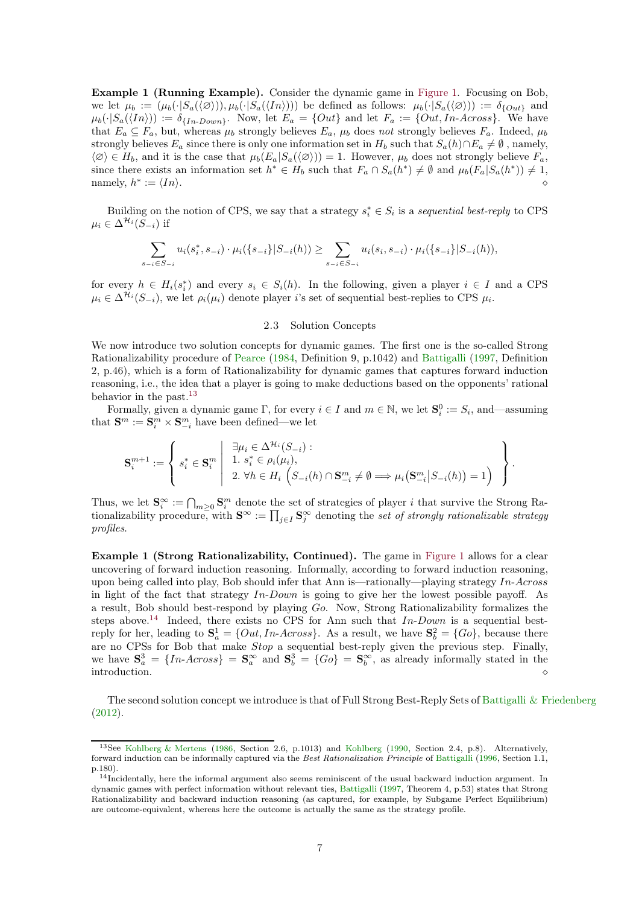<span id="page-6-4"></span>Example 1 (Running Example). Consider the dynamic game in [Figure 1.](#page-0-0) Focusing on Bob, we let  $\mu_b := (\mu_b(\cdot|S_a(\langle \varnothing \rangle)), \mu_b(\cdot|S_a(\langle In \rangle)))$  be defined as follows:  $\mu_b(\cdot|S_a(\langle \varnothing \rangle)) := \delta_{\{Out\}}$  and  $\mu_b(\cdot|S_a(\langle In \rangle)) := \delta_{\{In\text{-}Down\}}.$  Now, let  $E_a = \{Out\}$  and let  $F_a := \{Out, In\text{-}Across\}.$  We have that  $E_a \subseteq F_a$ , but, whereas  $\mu_b$  strongly believes  $E_a$ ,  $\mu_b$  does not strongly believes  $F_a$ . Indeed,  $\mu_b$ strongly believes  $E_a$  since there is only one information set in  $H_b$  such that  $S_a(h) \cap E_a \neq \emptyset$ , namely,  $\langle \emptyset \rangle \in H_b$ , and it is the case that  $\mu_b(E_a|S_a(\langle \emptyset \rangle)) = 1$ . However,  $\mu_b$  does not strongly believe  $F_a$ , since there exists an information set  $h^* \in H_b$  such that  $F_a \cap S_a(h^*) \neq \emptyset$  and  $\mu_b(F_a | S_a(h^*)) \neq 1$ , namely,  $h^*$  $\langle \, \langle \, \cdot \rangle \, | \, \, \rangle$ 

Building on the notion of CPS, we say that a strategy  $s_i^* \in S_i$  is a sequential best-reply to CPS  $\mu_i \in \Delta^{\mathcal{H}_i}(S_{-i})$  if

$$
\sum_{s_{-i}\in S_{-i}} u_i(s_i^*, s_{-i}) \cdot \mu_i(\{s_{-i}\}|S_{-i}(h)) \ge \sum_{s_{-i}\in S_{-i}} u_i(s_i, s_{-i}) \cdot \mu_i(\{s_{-i}\}|S_{-i}(h)),
$$

<span id="page-6-3"></span>for every  $h \in H_i(s_i^*)$  and every  $s_i \in S_i(h)$ . In the following, given a player  $i \in I$  and a CPS  $\mu_i \in \Delta^{\mathcal{H}_i}(S_{-i}),$  we let  $\rho_i(\mu_i)$  denote player i's set of sequential best-replies to CPS  $\mu_i$ .

# 2.3 Solution Concepts

We now introduce two solution concepts for dynamic games. The first one is the so-called Strong Rationalizability procedure of [Pearce](#page-23-0) [\(1984](#page-23-0), Definition 9, p.1042) and [Battigalli](#page-22-2) [\(1997](#page-22-2), Definition 2, p.46), which is a form of Rationalizability for dynamic games that captures forward induction reasoning, i.e., the idea that a player is going to make deductions based on the opponents' rational behavior in the past.<sup>[13](#page-6-0)</sup>

Formally, given a dynamic game  $\Gamma$ , for every  $i \in I$  and  $m \in \mathbb{N}$ , we let  $\mathbf{S}_i^0 := S_i$ , and—assuming that  $\mathbf{S}^m := \mathbf{S}_i^m \times \mathbf{S}_{-i}^m$  have been defined—we let

$$
\mathbf{S}_i^{m+1} := \left\{ \left. s_i^* \in \mathbf{S}_i^m \; \middle| \; \begin{array}{l} \exists \mu_i \in \Delta^{\mathcal{H}_i}(S_{-i}) : \\ 1. \; s_i^* \in \rho_i(\mu_i), \\ 2. \; \forall h \in H_i \left( S_{-i}(h) \cap \mathbf{S}_{-i}^m \neq \emptyset \Longrightarrow \mu_i\big(\mathbf{S}_{-i}^m|S_{-i}(h)\big) = 1 \right) \end{array} \right. \right\}.
$$

Thus, we let  $\mathbf{S}_i^{\infty} := \bigcap_{m \geq 0} \mathbf{S}_i^m$  denote the set of strategies of player i that survive the Strong Rationalizability procedure, with  $S^{\infty} := \prod_{j \in I} S_j^{\infty}$  denoting the set of strongly rationalizable strategy profiles.

Example 1 (Strong Rationalizability, Continued). The game in [Figure 1](#page-0-0) allows for a clear uncovering of forward induction reasoning. Informally, according to forward induction reasoning, upon being called into play, Bob should infer that Ann is—rationally—playing strategy  $In-Across$ in light of the fact that strategy  $In-Down$  is going to give her the lowest possible payoff. As a result, Bob should best-respond by playing Go. Now, Strong Rationalizability formalizes the steps above.<sup>[14](#page-6-1)</sup> Indeed, there exists no CPS for Ann such that  $In-Down$  is a sequential bestreply for her, leading to  $S_a^1 = \{Out, In-Across\}$ . As a result, we have  $S_b^2 = \{Go\}$ , because there are no CPSs for Bob that make *Stop* a sequential best-reply given the previous step. Finally, we have  $S_a^3 = \{In-Across\} = S_a^{\infty}$  and  $S_b^3 = \{Go\} = S_b^{\infty}$ , as already informally stated in the  $\Box$  introduction.  $\Diamond$ 

<span id="page-6-2"></span>The second solution concept we introduce is that of Full Strong Best-Reply Sets of [Battigalli & Friedenberg](#page-22-0) [\(2012\)](#page-22-0).

<span id="page-6-0"></span><sup>13</sup>See [Kohlberg & Mertens](#page-23-17) [\(1986](#page-23-17), Section 2.6, p.1013) and [Kohlberg](#page-23-18) [\(1990](#page-23-18), Section 2.4, p.8). Alternatively, forward induction can be informally captured via the Best Rationalization Principle of [Battigalli](#page-22-12) [\(1996](#page-22-12), Section 1.1, p.180).

<span id="page-6-1"></span><sup>&</sup>lt;sup>14</sup>Incidentally, here the informal argument also seems reminiscent of the usual backward induction argument. In dynamic games with perfect information without relevant ties, [Battigalli](#page-22-2) [\(1997](#page-22-2), Theorem 4, p.53) states that Strong Rationalizability and backward induction reasoning (as captured, for example, by Subgame Perfect Equilibrium) are outcome-equivalent, whereas here the outcome is actually the same as the strategy profile.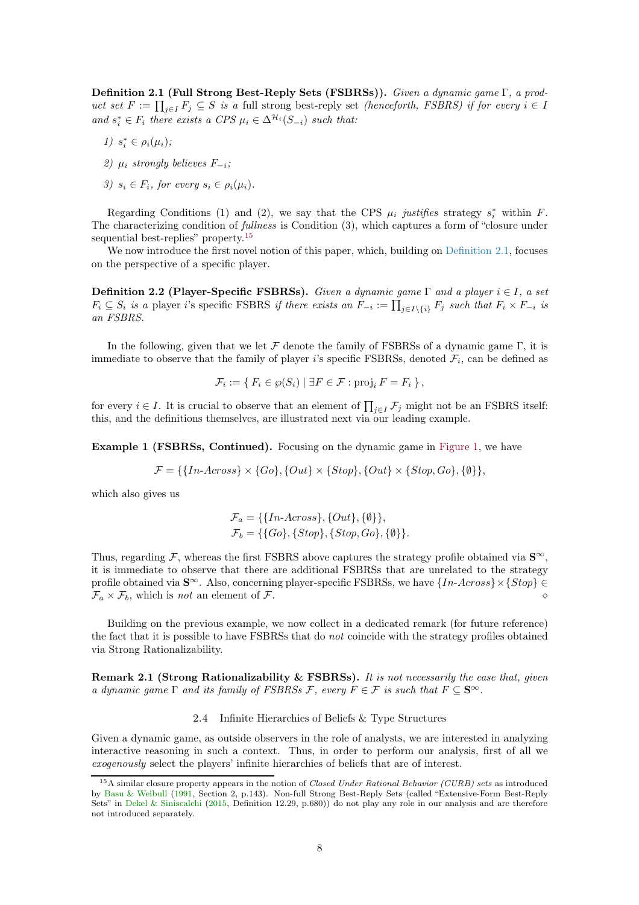<span id="page-7-4"></span>Definition 2.1 (Full Strong Best-Reply Sets (FSBRSs)). Given a dynamic game Γ, a product set  $F := \prod_{j \in I} F_j \subseteq S$  is a full strong best-reply set *(henceforth, FSBRS)* if for every  $i \in I$ and  $s_i^* \in F_i$  there exists a CPS  $\mu_i \in \Delta^{\mathcal{H}_i}(S_{-i})$  such that:

- 1)  $s_i^* \in \rho_i(\mu_i);$
- 2)  $\mu_i$  strongly believes  $F_{-i}$ ;
- 3)  $s_i \in F_i$ , for every  $s_i \in \rho_i(\mu_i)$ .

Regarding Conditions (1) and (2), we say that the CPS  $\mu_i$  justifies strategy  $s_i^*$  within F. The characterizing condition of fullness is Condition (3), which captures a form of "closure under sequential best-replies" property.<sup>[15](#page-7-2)</sup>

<span id="page-7-1"></span>We now introduce the first novel notion of this paper, which, building on [Definition 2.1,](#page-6-2) focuses on the perspective of a specific player.

**Definition 2.2 (Player-Specific FSBRSs).** Given a dynamic game  $\Gamma$  and a player  $i \in I$ , a set  $F_i \subseteq S_i$  is a player i's specific FSBRS if there exists an  $\tilde{F}_{-i} := \prod_{j \in I \setminus \{i\}} F_j$  such that  $F_i \times F_{-i}$  is an FSBRS.

In the following, given that we let  $\mathcal F$  denote the family of FSBRSs of a dynamic game  $\Gamma$ , it is immediate to observe that the family of player *i*'s specific FSBRSs, denoted  $\mathcal{F}_i$ , can be defined as

$$
\mathcal{F}_i := \{ F_i \in \wp(S_i) \mid \exists F \in \mathcal{F} : \text{proj}_i F = F_i \},
$$

for every  $i \in I$ . It is crucial to observe that an element of  $\prod_{j\in I} \mathcal{F}_j$  might not be an FSBRS itself: this, and the definitions themselves, are illustrated next via our leading example.

Example 1 (FSBRSs, Continued). Focusing on the dynamic game in [Figure 1,](#page-0-0) we have

$$
\mathcal{F} = \{ \{In-Across\} \times \{Go\}, \{Out\} \times \{Stop\}, \{Out\} \times \{Stop, Go\}, \{\emptyset\} \},
$$

which also gives us

$$
\mathcal{F}_a = \{ \{In-Across\}, \{Out\}, \{\emptyset\} \}, \n\mathcal{F}_b = \{ \{Go\}, \{Stop\}, \{Stop, Go\}, \{\emptyset\} \}.
$$

Thus, regarding F, whereas the first FSBRS above captures the strategy profile obtained via  $S^{\infty}$ , it is immediate to observe that there are additional FSBRSs that are unrelated to the strategy profile obtained via  $S^{\infty}$ . Also, concerning player-specific FSBRSs, we have  $\{In-Across\}\times\{Stop\} \in$  $\mathcal{F}_a \times \mathcal{F}_b$ , which is not an element of  $\mathcal{F}$ .

<span id="page-7-3"></span>Building on the previous example, we now collect in a dedicated remark (for future reference) the fact that it is possible to have FSBRSs that do not coincide with the strategy profiles obtained via Strong Rationalizability.

<span id="page-7-0"></span>Remark 2.1 (Strong Rationalizability & FSBRSs). It is not necessarily the case that, given a dynamic game  $\Gamma$  and its family of FSBRSs F, every  $F \in \mathcal{F}$  is such that  $F \subset \mathbf{S}^{\infty}$ .

## 2.4 Infinite Hierarchies of Beliefs & Type Structures

Given a dynamic game, as outside observers in the role of analysts, we are interested in analyzing interactive reasoning in such a context. Thus, in order to perform our analysis, first of all we exogenously select the players' infinite hierarchies of beliefs that are of interest.

<span id="page-7-2"></span><sup>15</sup>A similar closure property appears in the notion of Closed Under Rational Behavior (CURB) sets as introduced by [Basu & Weibull](#page-22-13) [\(1991](#page-22-13), Section 2, p.143). Non-full Strong Best-Reply Sets (called "Extensive-Form Best-Reply Sets" in [Dekel & Siniscalchi](#page-23-5) [\(2015](#page-23-5), Definition 12.29, p.680)) do not play any role in our analysis and are therefore not introduced separately.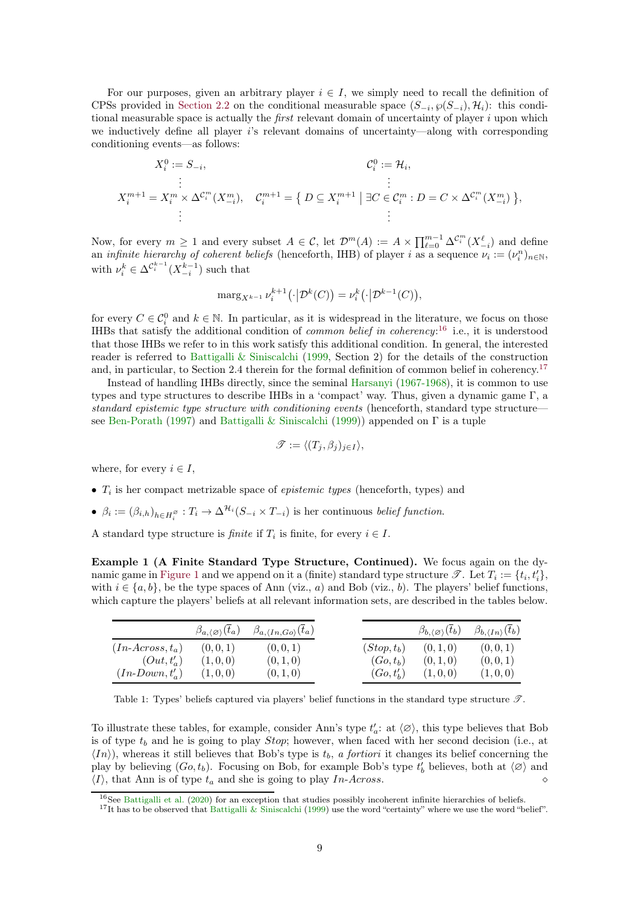<span id="page-8-3"></span>For our purposes, given an arbitrary player  $i \in I$ , we simply need to recall the definition of CPSs provided in [Section 2.2](#page-5-2) on the conditional measurable space  $(S_{-i}, \wp(S_{-i}), \mathcal{H}_i)$ : this conditional measurable space is actually the *first* relevant domain of uncertainty of player  $i$  upon which we inductively define all player is relevant domains of uncertainty—along with corresponding conditioning events—as follows:

$$
X_i^0 := S_{-i},
$$
  
\n
$$
\vdots
$$
  
\n
$$
X_i^{m+1} = X_i^m \times \Delta^{C_i^m}(X_{-i}^m),
$$
  
\n
$$
C_i^{m+1} = \{ D \subseteq X_i^{m+1} \mid \exists C \in C_i^m : D = C \times \Delta^{C_i^m}(X_{-i}^m) \},
$$
  
\n
$$
\vdots
$$
  
\n
$$
\vdots
$$

Now, for every  $m \geq 1$  and every subset  $A \in \mathcal{C}$ , let  $\mathcal{D}^m(A) := A \times \prod_{\ell=0}^{m-1} \Delta^{\mathcal{C}_i^m}(X_{-i}^{\ell})$  and define an *infinite hierarchy of coherent beliefs* (henceforth, IHB) of player *i* as a sequence  $\nu_i := (\nu_i^n)_{n \in \mathbb{N}}$ , with  $\nu_i^k \in \Delta^{\mathcal{C}_i^{k-1}}(X_{-i}^{k-1})$  such that

$$
\mathrm{marg}_{X^{k-1}} \nu_i^{k+1} (\cdot | \mathcal{D}^k(C)) = \nu_i^k (\cdot | \mathcal{D}^{k-1}(C)),
$$

for every  $C \in \mathcal{C}_i^0$  and  $k \in \mathbb{N}$ . In particular, as it is widespread in the literature, we focus on those IHBs that satisfy the additional condition of *common belief in coherency*:<sup>[16](#page-8-0)</sup> i.e., it is understood that those IHBs we refer to in this work satisfy this additional condition. In general, the interested reader is referred to [Battigalli & Siniscalchi](#page-22-14) [\(1999,](#page-22-14) Section 2) for the details of the construction and, in particular, to Section 2.4 therein for the formal definition of common belief in coherency.<sup>[17](#page-8-1)</sup>

Instead of handling IHBs directly, since the seminal [Harsanyi](#page-23-19) [\(1967-1968\)](#page-23-19), it is common to use types and type structures to describe IHBs in a 'compact' way. Thus, given a dynamic game Γ, a standard epistemic type structure with conditioning events (henceforth, standard type structure see [Ben-Porath](#page-22-5) [\(1997\)](#page-22-5) and [Battigalli & Siniscalchi](#page-22-14) [\(1999\)](#page-22-14)) appended on Γ is a tuple

$$
\mathscr{T} := \langle (T_j, \beta_j)_{j \in I} \rangle,
$$

where, for every  $i \in I$ ,

- $T_i$  is her compact metrizable space of *epistemic types* (henceforth, types) and
- $\beta_i := (\beta_{i,h})_{h \in H_i^{\varnothing}} : T_i \to \Delta^{\mathcal{H}_i}(S_{-i} \times T_{-i})$  is her continuous *belief function*.

A standard type structure is *finite* if  $T_i$  is finite, for every  $i \in I$ .

Example 1 (A Finite Standard Type Structure, Continued). We focus again on the dy-namic game in [Figure 1](#page-0-0) and we append on it a (finite) standard type structure  $\mathscr{T}$ . Let  $T_i := \{t_i, t'_i\}$ , with  $i \in \{a, b\}$ , be the type spaces of Ann (viz., a) and Bob (viz., b). The players' belief functions, which capture the players' beliefs at all relevant information sets, are described in the tables below.

<span id="page-8-2"></span>

|                    | $\beta_{a,\langle\varnothing\rangle}(\overline{t}_a)$ | $\beta_{a,\langle In,Go \rangle}(t_a)$ |                | $\beta_{b,\langle\varnothing\rangle}(t_b)$ | $\beta_{b,\langle In\rangle}(\overline{t}_{b})$ |
|--------------------|-------------------------------------------------------|----------------------------------------|----------------|--------------------------------------------|-------------------------------------------------|
| $(In-Across, t_a)$ | (0, 0, 1)                                             | (0, 0, 1)                              | $(Stop, t_b)$  | (0, 1, 0)                                  | (0, 0, 1)                                       |
| $(Out, t'_a)$      | (1,0,0)                                               | (0, 1, 0)                              | $(Go, t_b)$    | (0,1,0)                                    | (0,0,1)                                         |
| $(In-Down, t'_a)$  | (1,0,0)                                               | (0, 1, 0)                              | $(Go, t'_{h})$ | (1,0,0)                                    | (1,0,0)                                         |

Table 1: Types' beliefs captured via players' belief functions in the standard type structure  $\mathscr{T}$ .

To illustrate these tables, for example, consider Ann's type  $t_a'$ : at  $\langle \varnothing \rangle$ , this type believes that Bob is of type  $t_b$  and he is going to play *Stop*; however, when faced with her second decision (i.e., at  $\langle In \rangle$ , whereas it still believes that Bob's type is  $t_b$ , a fortiori it changes its belief concerning the play by believing  $(Go, t_b)$ . Focusing on Bob, for example Bob's type  $t'_b$  believes, both at  $\langle \varnothing \rangle$  and hIi, that Ann is of type t<sup>a</sup> and she is going to play In-Across. ⋄

 $16$ See [Battigalli et al.](#page-22-15) [\(2020\)](#page-22-15) for an exception that studies possibly incoherent infinite hierarchies of beliefs.

<span id="page-8-1"></span><span id="page-8-0"></span><sup>&</sup>lt;sup>17</sup>It has to be observed that [Battigalli & Siniscalchi](#page-22-14) [\(1999](#page-22-14)) use the word "certainty" where we use the word "belief".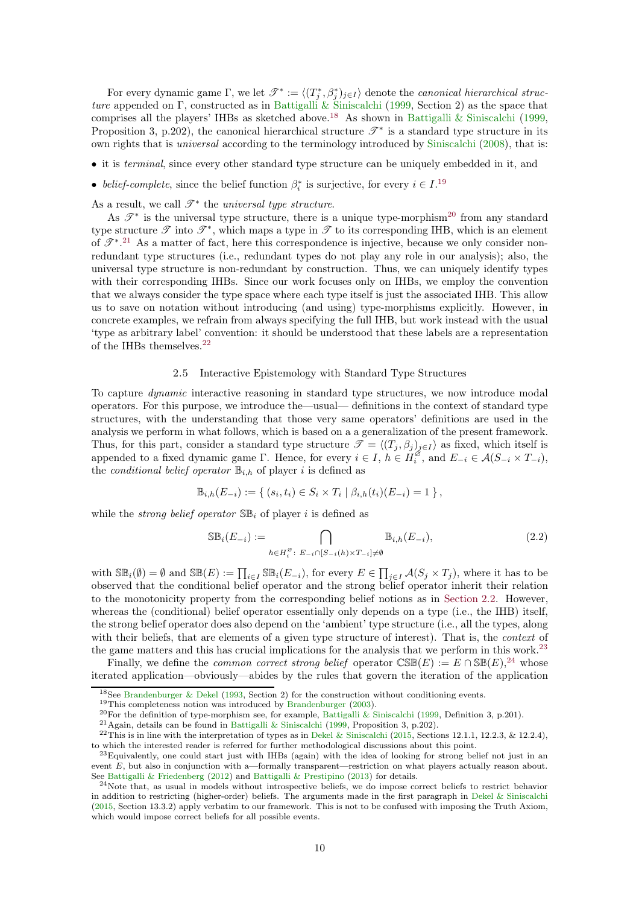<span id="page-9-8"></span>For every dynamic game  $\Gamma$ , we let  $\mathscr{T}^* := \langle (T_j^*, \beta_j^*)_{j \in I} \rangle$  denote the *canonical hierarchical struc*ture appended on Γ, constructed as in [Battigalli & Siniscalchi](#page-22-14) [\(1999,](#page-22-14) Section 2) as the space that comprises all the players' IHBs as sketched above.[18](#page-9-0) As shown in [Battigalli & Siniscalchi](#page-22-14) [\(1999,](#page-22-14) Proposition 3, p.202), the canonical hierarchical structure  $\mathscr{T}^*$  is a standard type structure in its own rights that is universal according to the terminology introduced by [Siniscalchi](#page-24-2) [\(2008\)](#page-24-2), that is:

- it is terminal, since every other standard type structure can be uniquely embedded in it, and
- belief-complete, since the belief function  $\beta_i^*$  is surjective, for every  $i \in I$ .<sup>[19](#page-9-1)</sup>
- As a result, we call  $\mathscr{T}^*$  the universal type structure.

As  $\mathscr{T}^*$  is the universal type structure, there is a unique type-morphism<sup>[20](#page-9-2)</sup> from any standard type structure  $\mathscr T$  into  $\mathscr T^*$ , which maps a type in  $\mathscr T$  to its corresponding IHB, which is an element of  $\mathscr{T}^*$ .<sup>[21](#page-9-3)</sup> As a matter of fact, here this correspondence is injective, because we only consider nonredundant type structures (i.e., redundant types do not play any role in our analysis); also, the universal type structure is non-redundant by construction. Thus, we can uniquely identify types with their corresponding IHBs. Since our work focuses only on IHBs, we employ the convention that we always consider the type space where each type itself is just the associated IHB. This allow us to save on notation without introducing (and using) type-morphisms explicitly. However, in concrete examples, we refrain from always specifying the full IHB, but work instead with the usual 'type as arbitrary label' convention: it should be understood that these labels are a representation of the IHBs themselves.[22](#page-9-4)

#### 2.5 Interactive Epistemology with Standard Type Structures

<span id="page-9-7"></span>To capture dynamic interactive reasoning in standard type structures, we now introduce modal operators. For this purpose, we introduce the—usual— definitions in the context of standard type structures, with the understanding that those very same operators' definitions are used in the analysis we perform in what follows, which is based on a a generalization of the present framework. Thus, for this part, consider a standard type structure  $\mathcal{T} = \langle (T_j, \beta_j)_{j\in I} \rangle$  as fixed, which itself is appended to a fixed dynamic game Γ. Hence, for every  $i \in I, h \in H_i^{\emptyset}$  $i_i^{\omega}$ , and  $E_{-i} \in \mathcal{A}(S_{-i} \times T_{-i}),$ the *conditional belief operator*  $\mathbb{B}_{i,h}$  of player i is defined as

$$
\mathbb{B}_{i,h}(E_{-i}) := \{ (s_i, t_i) \in S_i \times T_i \mid \beta_{i,h}(t_i)(E_{-i}) = 1 \},
$$

while the *strong belief operator*  $\mathbb{S}\mathbb{B}_i$  of player i is defined as

$$
\mathbb{SB}_i(E_{-i}) := \bigcap_{h \in H_i^{\varnothing} : E_{-i} \cap [S_{-i}(h) \times T_{-i}] \neq \emptyset} \mathbb{B}_{i,h}(E_{-i}),
$$
\n(2.2)

with  $\mathbb{SB}_i(\emptyset) = \emptyset$  and  $\mathbb{SB}(E) := \prod_{i \in I} \mathbb{SB}_i(E_{-i})$ , for every  $E \in \prod_{j \in I} \mathcal{A}(S_j \times T_j)$ , where it has to be observed that the conditional belief operator and the strong belief operator inherit their relation to the monotonicity property from the corresponding belief notions as in [Section 2.2.](#page-5-2) However, whereas the (conditional) belief operator essentially only depends on a type (i.e., the IHB) itself, the strong belief operator does also depend on the 'ambient' type structure (i.e., all the types, along with their beliefs, that are elements of a given type structure of interest). That is, the *context* of the game matters and this has crucial implications for the analysis that we perform in this work.<sup>[23](#page-9-5)</sup>

Finally, we define the *common correct strong belief* operator  $\mathbb{CSE}(E) := E \cap \mathbb{SE}(E)$ ,<sup>[24](#page-9-6)</sup> whose iterated application—obviously—abides by the rules that govern the iteration of the application

<sup>&</sup>lt;sup>18</sup>See [Brandenburger & Dekel](#page-22-16) [\(1993](#page-22-16), Section 2) for the construction without conditioning events.

<span id="page-9-0"></span><sup>19</sup>This completeness notion was introduced by [Brandenburger](#page-22-17) [\(2003](#page-22-17)).

<span id="page-9-1"></span><sup>20</sup>For the definition of type-morphism see, for example, [Battigalli & Siniscalchi](#page-22-14) [\(1999,](#page-22-14) Definition 3, p.201).

<span id="page-9-3"></span><span id="page-9-2"></span> $^{21}$ Again, details can be found in [Battigalli & Siniscalchi](#page-22-14) [\(1999](#page-22-14), Proposition 3, p.202).

<span id="page-9-4"></span> $22$ This is in line with the interpretation of types as in [Dekel & Siniscalchi](#page-23-5) [\(2015](#page-23-5), Sections 12.1.1, 12.2.3, & 12.2.4), to which the interested reader is referred for further methodological discussions about this point.

<span id="page-9-5"></span> $^{23}$ Equivalently, one could start just with IHBs (again) with the idea of looking for strong belief not just in an event E, but also in conjunction with a—formally transparent—restriction on what players actually reason about. See [Battigalli & Friedenberg](#page-22-0) [\(2012](#page-22-0)) and [Battigalli & Prestipino](#page-22-18) [\(2013\)](#page-22-18) for details.

<span id="page-9-6"></span> $^{24}$ Note that, as usual in models without introspective beliefs, we do impose correct beliefs to restrict behavior in addition to restricting (higher-order) beliefs. The arguments made in the first paragraph in [Dekel & Siniscalchi](#page-23-5) [\(2015](#page-23-5), Section 13.3.2) apply verbatim to our framework. This is not to be confused with imposing the Truth Axiom, which would impose correct beliefs for all possible events.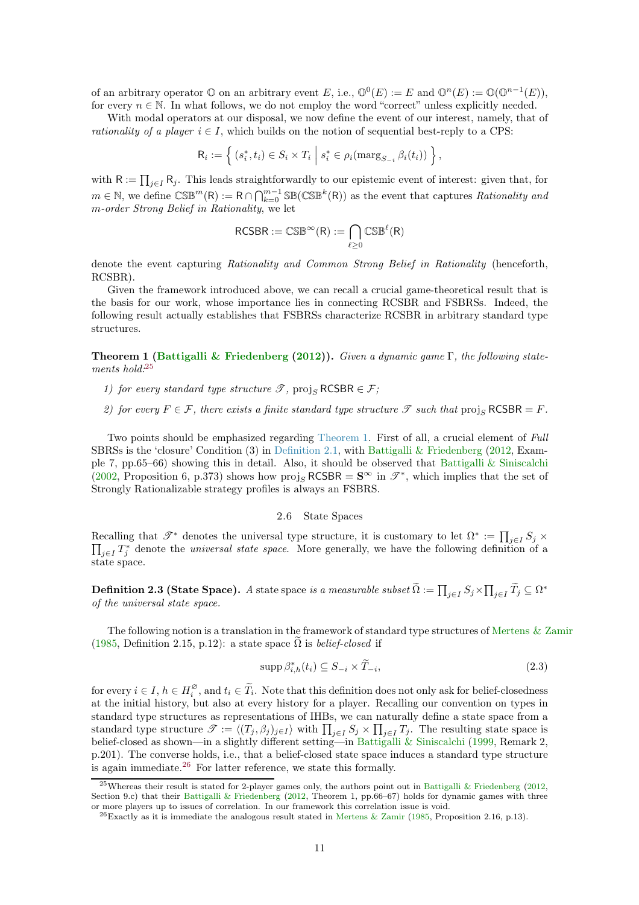<span id="page-10-6"></span>of an arbitrary operator  $\mathbb O$  on an arbitrary event E, i.e.,  $\mathbb O^0(E) := E$  and  $\mathbb O^n(E) := \mathbb O(\mathbb O^{n-1}(E)),$ for every  $n \in \mathbb{N}$ . In what follows, we do not employ the word "correct" unless explicitly needed.

With modal operators at our disposal, we now define the event of our interest, namely, that of *rationality of a player*  $i \in I$ , which builds on the notion of sequential best-reply to a CPS:

$$
\mathsf{R}_i := \left\{ (s_i^*, t_i) \in S_i \times T_i \; \middle| \; s_i^* \in \rho_i(\operatorname{marg}_{S_{-i}} \beta_i(t_i)) \right\},\,
$$

with  $R := \prod_{j \in I} R_j$ . This leads straightforwardly to our epistemic event of interest: given that, for  $m \in \mathbb{N}$ , we define  $\mathbb{CSE}^m(\mathsf{R}) := \mathsf{R} \cap \bigcap_{k=0}^{m-1} \mathbb{SE}(\mathbb{CSE}^k(\mathsf{R}))$  as the event that captures *Rationality and* m-order Strong Belief in Rationality, we let

$$
\mathsf{RCSBR}:=\mathbb{CSB}^\infty(R):=\bigcap_{\ell\geq 0}\mathbb{CSB}^\ell(R)
$$

denote the event capturing Rationality and Common Strong Belief in Rationality (henceforth, RCSBR).

Given the framework introduced above, we can recall a crucial game-theoretical result that is the basis for our work, whose importance lies in connecting RCSBR and FSBRSs. Indeed, the following result actually establishes that FSBRSs characterize RCSBR in arbitrary standard type structures.

<span id="page-10-2"></span>**Theorem 1 [\(Battigalli & Friedenberg](#page-22-0) [\(2012](#page-22-0))).** Given a dynamic game  $\Gamma$ , the following statements hold: $25$ 

- 1) for every standard type structure  $\mathscr{T}$ , proj<sub>S</sub> RCSBR  $\in \mathscr{F}$ ;
- 2) for every  $F \in \mathcal{F}$ , there exists a finite standard type structure  $\mathcal{T}$  such that projs RCSBR = F.

Two points should be emphasized regarding [Theorem 1.](#page-10-2) First of all, a crucial element of Full SBRSs is the 'closure' Condition  $(3)$  in [Definition 2.1,](#page-6-2) with [Battigalli & Friedenberg](#page-22-0)  $(2012, Exam (2012, Exam$ ple 7, pp.65–66) showing this in detail. Also, it should be observed that [Battigalli & Siniscalchi](#page-22-1) [\(2002,](#page-22-1) Proposition 6, p.373) shows how proj<sub>S</sub> RCSBR =  $S^{\infty}$  in  $\mathscr{T}^*$ , which implies that the set of Strongly Rationalizable strategy profiles is always an FSBRS.

# 2.6 State Spaces

Recalling that  $\mathscr{T}^*$  denotes the universal type structure, it is customary to let  $\Omega^* := \prod$ Recalling that  $\mathscr{T}^*$  denotes the universal type structure, it is customary to let  $\Omega^* := \prod_{j \in I} S_j \times \prod_{i \in I} T^*$  denote the *universal state space*. More generally, we have the following definition of a  $_{j\in I}T_j^*$  denote the *universal state space*. More generally, we have the following definition of a state space.

<span id="page-10-0"></span> $\textbf{Definition 2.3 (State Space).}\ \textit{A state space is a measurable subset} \ \widetilde{\Omega} := \prod_{j\in I} S_j \times \prod_{j\in I} \widetilde{T}_j \subseteq \Omega^*$ of the universal state space.

The following notion is a translation in the framework of standard type structures of [Mertens & Zamir](#page-23-20) [\(1985,](#page-23-20) Definition 2.15, p.12): a state space  $\tilde{\Omega}$  is *belief-closed* if

<span id="page-10-4"></span>
$$
\operatorname{supp} \beta_{i,h}^*(t_i) \subseteq S_{-i} \times \widetilde{T}_{-i},\tag{2.3}
$$

for every  $i \in I$ ,  $h \in H_i^{\varnothing}$ <sup>2</sup>, and  $t_i \in T_i$ . Note that this definition does not only ask for belief-closedness at the initial history, but also at every history for a player. Recalling our convention on types in standard type structures as representations of IHBs, we can naturally define a state space from a standard type structure  $\mathscr{T} := \langle (T_j, \beta_j)_{j \in I} \rangle$  with  $\prod_{j \in I} S_j \times \prod_{j \in I} T_j$ . The resulting state space is belief-closed as shown—in a slightly different setting—in [Battigalli & Siniscalchi](#page-22-14) [\(1999,](#page-22-14) Remark 2, p.201). The converse holds, i.e., that a belief-closed state space induces a standard type structure is again immediate.[26](#page-10-3) For latter reference, we state this formally.

<span id="page-10-5"></span><span id="page-10-1"></span><sup>25</sup>Whereas their result is stated for 2-player games only, the authors point out in [Battigalli & Friedenberg](#page-22-0) [\(2012,](#page-22-0) Section 9.c) that their [Battigalli & Friedenberg](#page-22-0) [\(2012,](#page-22-0) Theorem 1, pp.66–67) holds for dynamic games with three or more players up to issues of correlation. In our framework this correlation issue is void.

<span id="page-10-3"></span> $^{26}$ Exactly as it is immediate the analogous result stated in [Mertens & Zamir](#page-23-20) [\(1985](#page-23-20), Proposition 2.16, p.13).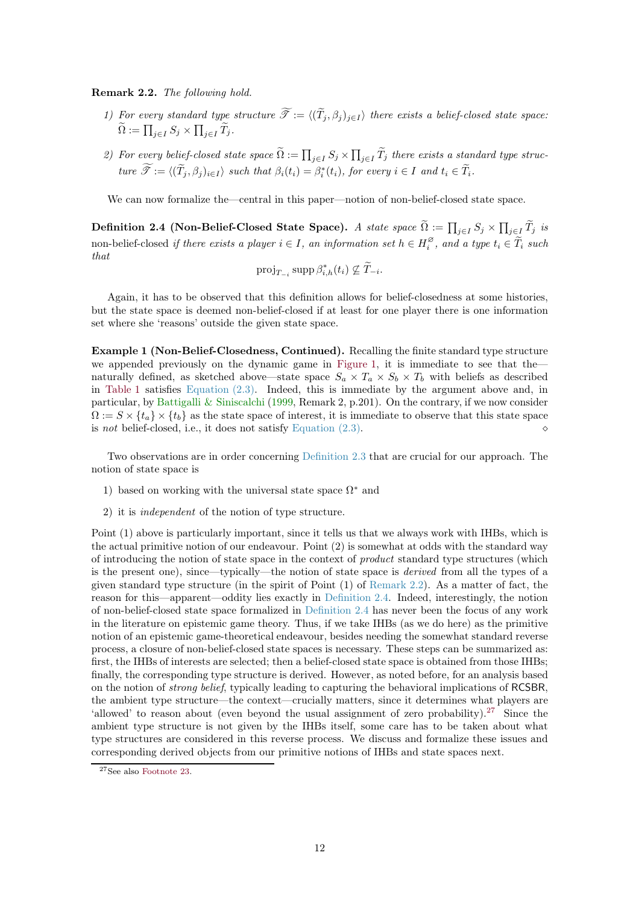<span id="page-11-2"></span>Remark 2.2. The following hold.

- 1) For every standard type structure  $\widetilde{\mathcal{T}}:=\langle (\widetilde{T}_j, \beta_j)_{j\in I} \rangle$  there exists a belief-closed state space:  $\widetilde{\Omega} := \prod_{j \in I} S_j \times \prod_{j \in I} \widetilde{T}_j.$
- 2) For every belief-closed state space  $\widetilde{\Omega} := \prod_{j \in I} S_j \times \prod_{j \in I} \widetilde{T}_j$  there exists a standard type struc $true \ \widetilde{\mathscr{T}} := \langle (\widetilde{T}_j, \beta_j)_{i \in I} \rangle \ \ \textit{such that} \ \beta_i(t_i) = \beta_i^*(t_i), \ \textit{for every} \ i \in I \ \ \textit{and} \ t_i \in \widetilde{T}_i.$

<span id="page-11-0"></span>We can now formalize the—central in this paper—notion of non-belief-closed state space.

Definition 2.4 (Non-Belief-Closed State Space). A state space  $\widetilde{\Omega}:=\prod_{j\in I}S_j\times \prod_{j\in I}\widetilde{T}_j$  is non-belief-closed if there exists a player  $i \in I$ , an information set  $h \in H_i^{\emptyset}$  $i_i^{\omega}$ , and a type  $t_i \in T_i$  such that

$$
\operatorname{proj}_{T_{-i}} \operatorname{supp} \beta_{i,h}^*(t_i) \nsubseteq \widetilde{T}_{-i}.
$$

Again, it has to be observed that this definition allows for belief-closedness at some histories, but the state space is deemed non-belief-closed if at least for one player there is one information set where she 'reasons' outside the given state space.

Example 1 (Non-Belief-Closedness, Continued). Recalling the finite standard type structure we appended previously on the dynamic game in [Figure 1,](#page-0-0) it is immediate to see that the naturally defined, as sketched above—state space  $S_a \times T_a \times S_b \times T_b$  with beliefs as described in [Table 1](#page-8-2) satisfies [Equation \(2.3\).](#page-10-4) Indeed, this is immediate by the argument above and, in particular, by [Battigalli & Siniscalchi](#page-22-14) [\(1999,](#page-22-14) Remark 2, p.201). On the contrary, if we now consider  $\Omega := S \times \{t_a\} \times \{t_b\}$  as the state space of interest, it is immediate to observe that this state space is not belief-closed, i.e., it does not satisfy Equation  $(2.3)$ .

Two observations are in order concerning [Definition 2.3](#page-10-0) that are crucial for our approach. The notion of state space is

- 1) based on working with the universal state space  $\Omega^*$  and
- 2) it is independent of the notion of type structure.

Point (1) above is particularly important, since it tells us that we always work with IHBs, which is the actual primitive notion of our endeavour. Point (2) is somewhat at odds with the standard way of introducing the notion of state space in the context of product standard type structures (which is the present one), since—typically—the notion of state space is derived from all the types of a given standard type structure (in the spirit of Point (1) of [Remark 2.2\)](#page-10-5). As a matter of fact, the reason for this—apparent—oddity lies exactly in [Definition 2.4.](#page-11-0) Indeed, interestingly, the notion of non-belief-closed state space formalized in [Definition 2.4](#page-11-0) has never been the focus of any work in the literature on epistemic game theory. Thus, if we take IHBs (as we do here) as the primitive notion of an epistemic game-theoretical endeavour, besides needing the somewhat standard reverse process, a closure of non-belief-closed state spaces is necessary. These steps can be summarized as: first, the IHBs of interests are selected; then a belief-closed state space is obtained from those IHBs; finally, the corresponding type structure is derived. However, as noted before, for an analysis based on the notion of strong belief, typically leading to capturing the behavioral implications of RCSBR, the ambient type structure—the context—crucially matters, since it determines what players are 'allowed' to reason about (even beyond the usual assignment of zero probability).<sup>[27](#page-11-1)</sup> Since the ambient type structure is not given by the IHBs itself, some care has to be taken about what type structures are considered in this reverse process. We discuss and formalize these issues and corresponding derived objects from our primitive notions of IHBs and state spaces next.

<span id="page-11-1"></span> $^{27}\rm{See}$  also [Footnote 23.](#page-9-5)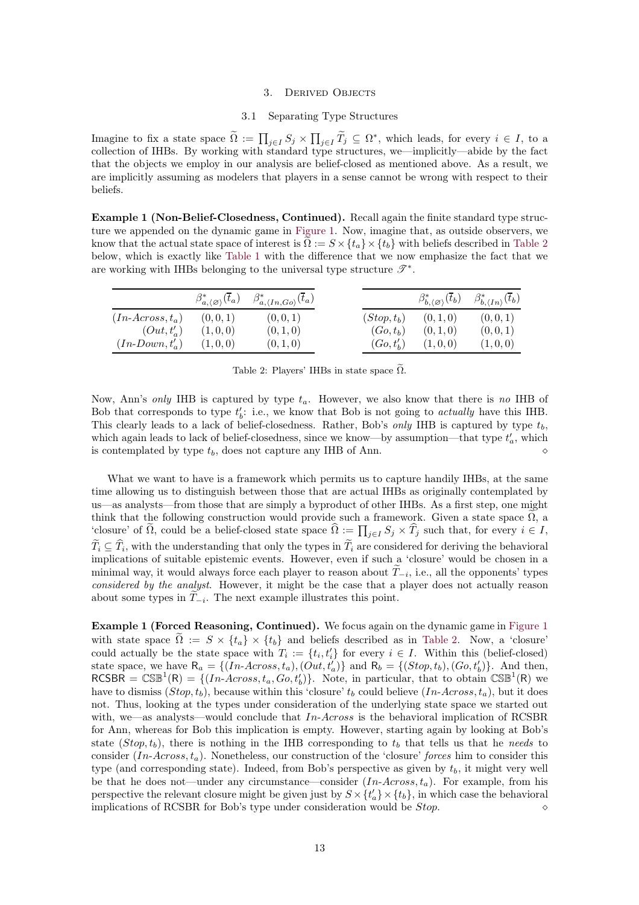#### 3. Derived Objects

# 3.1 Separating Type Structures

<span id="page-12-0"></span>Imagine to fix a state space  $\widetilde{\Omega} := \prod_{j \in I} S_j \times \prod_{j \in I} \widetilde{T}_j \subseteq \Omega^*$ , which leads, for every  $i \in I$ , to a collection of IHBs. By working with standard type structures, we—implicitly—abide by the fact that the objects we employ in our analysis are belief-closed as mentioned above. As a result, we are implicitly assuming as modelers that players in a sense cannot be wrong with respect to their beliefs.

Example 1 (Non-Belief-Closedness, Continued). Recall again the finite standard type structure we appended on the dynamic game in [Figure 1.](#page-0-0) Now, imagine that, as outside observers, we know that the actual state space of interest is  $\Omega := S \times \{t_a\} \times \{t_b\}$  with beliefs described in [Table 2](#page-12-1) below, which is exactly like [Table 1](#page-8-2) with the difference that we now emphasize the fact that we are working with IHBs belonging to the universal type structure  $\mathscr{T}^*$ .

<span id="page-12-1"></span>

|                    | $\beta^*_{a,\langle\varnothing\rangle}(t_a)$ | $\beta^*_{a,\langle In,Go\rangle}(\overline{t}_a)$ |                | $\beta^*_{b, \langle \varnothing \rangle}(\overline{t}_b)$ | $\beta^*_{b,\langle In \rangle}(\overline{t}_b)$ |
|--------------------|----------------------------------------------|----------------------------------------------------|----------------|------------------------------------------------------------|--------------------------------------------------|
| $(In-Across, t_a)$ | (0, 0, 1)                                    | (0, 0, 1)                                          | $(Stop, t_b)$  | (0, 1, 0)                                                  | (0, 0, 1)                                        |
| $(Out, t'_a)$      | (1,0,0)                                      | (0, 1, 0)                                          | $(Go, t_h)$    | (0, 1, 0)                                                  | (0,0,1)                                          |
| $(In-Down, t'_a)$  | (1,0,0)                                      | (0, 1, 0)                                          | $(Go, t'_{h})$ | (1,0,0)                                                    | (1,0,0)                                          |

Table 2: Players' IHBs in state space  $\tilde{\Omega}$ .

Now, Ann's only IHB is captured by type  $t_a$ . However, we also know that there is no IHB of Bob that corresponds to type  $t'_b$ : i.e., we know that Bob is not going to *actually* have this IHB. This clearly leads to a lack of belief-closedness. Rather, Bob's only IHB is captured by type  $t_b$ , which again leads to lack of belief-closedness, since we know—by assumption—that type  $t_a'$ , which is contemplated by type tb, does not capture any IHB of Ann. ⋄

What we want to have is a framework which permits us to capture handily IHBs, at the same time allowing us to distinguish between those that are actual IHBs as originally contemplated by us—as analysts—from those that are simply a byproduct of other IHBs. As a first step, one might think that the following construction would provide such a framework. Given a state space  $\Omega$ , a 'closure' of  $\tilde{\Omega}$ , could be a belief-closed state space  $\hat{\Omega} := \prod_{j \in I} S_j \times \hat{T}_j$  such that, for every  $i \in I$ ,  $T_i \subseteq T_i$ , with the understanding that only the types in  $T_i$  are considered for deriving the behavioral implications of suitable epistemic events. However, even if such a 'closure' would be chosen in a minimal way, it would always force each player to reason about  $T_{-i}$ , i.e., all the opponents' types considered by the analyst. However, it might be the case that a player does not actually reason about some types in  $T_{-i}$ . The next example illustrates this point.

Example 1 (Forced Reasoning, Continued). We focus again on the dynamic game in [Figure 1](#page-0-0) with state space  $\Omega := S \times \{t_a\} \times \{t_b\}$  and beliefs described as in [Table 2.](#page-12-1) Now, a 'closure' could actually be the state space with  $T_i := \{t_i, t'_i\}$  for every  $i \in I$ . Within this (belief-closed) state space, we have  $R_a = \{(In-Across, t_a), (Out, t'_a)\}\$ and  $R_b = \{(Stop, t_b), (Go, t'_b)\}\$ . And then,  $RCSBR = \mathbb{CSB}^1(R) = \{(In-Across, t_a, Go, t'_b)\}.$  Note, in particular, that to obtain  $\mathbb{CSB}^1(R)$  we have to dismiss  $(Stop, t_b)$ , because within this 'closure'  $t_b$  could believe  $(In-Across, t_a)$ , but it does not. Thus, looking at the types under consideration of the underlying state space we started out with, we—as analysts—would conclude that  $In-Across$  is the behavioral implication of RCSBR for Ann, whereas for Bob this implication is empty. However, starting again by looking at Bob's state  $(Stop, t_b)$ , there is nothing in the IHB corresponding to  $t_b$  that tells us that he needs to consider  $(In-Across, t_a)$ . Nonetheless, our construction of the 'closure' forces him to consider this type (and corresponding state). Indeed, from Bob's perspective as given by  $t<sub>b</sub>$ , it might very well be that he does not—under any circumstance—consider  $(In-Across, t_a)$ . For example, from his perspective the relevant closure might be given just by  $S \times \{t'_a\} \times \{t_b\}$ , in which case the behavioral implications of RCSBR for Bob's type under consideration would be Stop. ⋄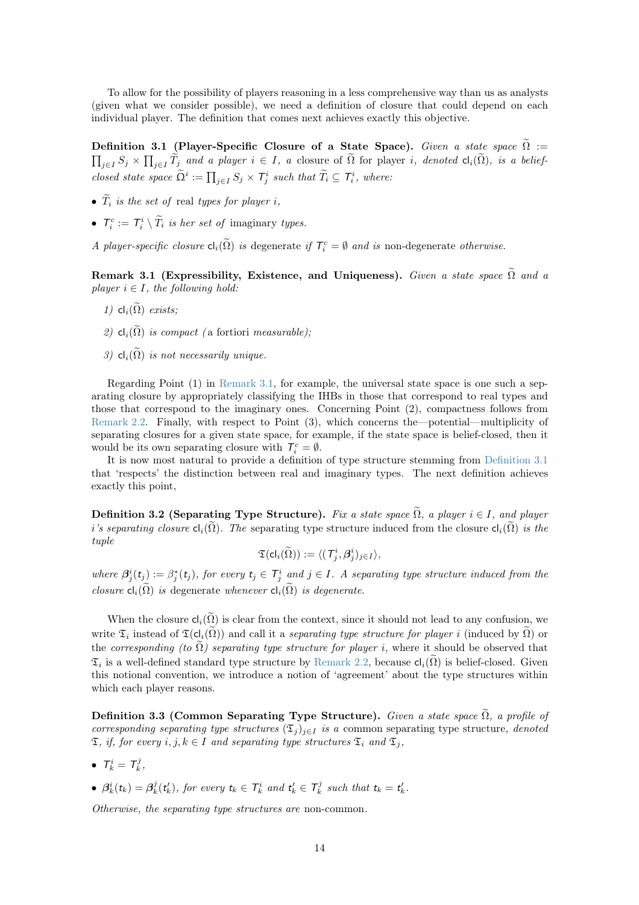<span id="page-13-0"></span>To allow for the possibility of players reasoning in a less comprehensive way than us as analysts (given what we consider possible), we need a definition of closure that could depend on each individual player. The definition that comes next achieves exactly this objective.

Definition 3.1 (Player-Specific Closure of a State Space). Given a state space  $\widetilde{\Omega}$  :=  $\prod_{j\in I}S_j\times \prod_{j\in I}\widetilde{T}_j$  and a player  $i\in I$ , a closure of  $\widetilde{\Omega}$  for player i, denoted  $\textsf{cl}_i(\widetilde{\Omega})$ , is a beliefclosed state space  $\widetilde{\Omega}^i := \prod_{j \in I} S_j \times T_j^i$  such that  $\widetilde{T}_i \subseteq T_i^i$ , where:

- $\widetilde{T}_i$  is the set of real types for player i,
- $T_i^c := T_i^i \setminus \widetilde{T}_i$  is her set of imaginary types.

A player-specific closure  $\text{cl}_i(\tilde{\Omega})$  is degenerate if  $\mathcal{T}_i^c = \emptyset$  and is non-degenerate otherwise.

<span id="page-13-2"></span>Remark 3.1 (Expressibility, Existence, and Uniqueness). Given a state space  $\tilde{\Omega}$  and a player  $i \in I$ , the following hold:

- 1)  $cl_i(\widetilde{\Omega})$  exists;
- 2)  $cl_i(\widetilde{\Omega})$  is compact (a fortiori measurable);
- 3)  $cl_i(\widetilde{\Omega})$  is not necessarily unique.

Regarding Point (1) in [Remark 3.1,](#page-13-2) for example, the universal state space is one such a separating closure by appropriately classifying the IHBs in those that correspond to real types and those that correspond to the imaginary ones. Concerning Point (2), compactness follows from [Remark 2.2.](#page-10-5) Finally, with respect to Point (3), which concerns the—potential—multiplicity of separating closures for a given state space, for example, if the state space is belief-closed, then it would be its own separating closure with  $T_i^c = \emptyset$ .

It is now most natural to provide a definition of type structure stemming from [Definition 3.1](#page-13-0) that 'respects' the distinction between real and imaginary types. The next definition achieves exactly this point,

<span id="page-13-1"></span>Definition 3.2 (Separating Type Structure). Fix a state space  $\widetilde{\Omega}$ , a player  $i \in I$ , and player i's separating closure  $\mathsf{cl}_i(\tilde{\Omega})$ . The separating type structure induced from the closure  $\mathsf{cl}_i(\tilde{\Omega})$  is the tuple

$$
\mathfrak{T}(\mathsf{cl}_i(\widetilde{\Omega})) := \langle (\mathcal{T}_j^i, \boldsymbol{\beta}_j^i)_{j \in I} \rangle,
$$

where  $\beta_j^i(t_j) := \beta_j^*(t_j)$ , for every  $t_j \in \mathcal{T}_j^i$  and  $j \in I$ . A separating type structure induced from the closure  $\mathsf{cl}_i(\tilde{\Omega})$  is degenerate whenever  $\mathsf{cl}_i(\tilde{\Omega})$  is degenerate.

When the closure  $\mathsf{cl}_i(\widetilde{\Omega})$  is clear from the context, since it should not lead to any confusion, we write  $\mathfrak{T}_i$  instead of  $\mathfrak{T}(\text{cl}_i(\tilde{\Omega}))$  and call it a separating type structure for player i (induced by  $\tilde{\Omega}$ ) or the corresponding (to  $\Omega$ ) separating type structure for player i, where it should be observed that  $\mathfrak{T}_i$  is a well-defined standard type structure by [Remark 2.2,](#page-10-5) because  $\mathsf{cl}_i(\widetilde{\Omega})$  is belief-closed. Given this notional convention, we introduce a notion of 'agreement' about the type structures within which each player reasons.

Definition 3.3 (Common Separating Type Structure). Given a state space  $\widetilde{\Omega}$ , a profile of corresponding separating type structures  $(\mathfrak{T}_j)_{j\in I}$  is a common separating type structure, denoted  $\mathfrak{T}, \textit{ if, for every } i,j,k \in I \textit{ and separating type structures } \mathfrak{T}_i \textit{ and } \mathfrak{T}_j,$ 

- $T_k^i = T_k^j$ ,
- $\beta_k^i(t_k) = \beta_k^j(t'_k)$ , for every  $t_k \in \mathcal{T}_k^i$  and  $t'_k \in \mathcal{T}_k^j$  such that  $t_k = t'_k$ .

Otherwise, the separating type structures are non-common.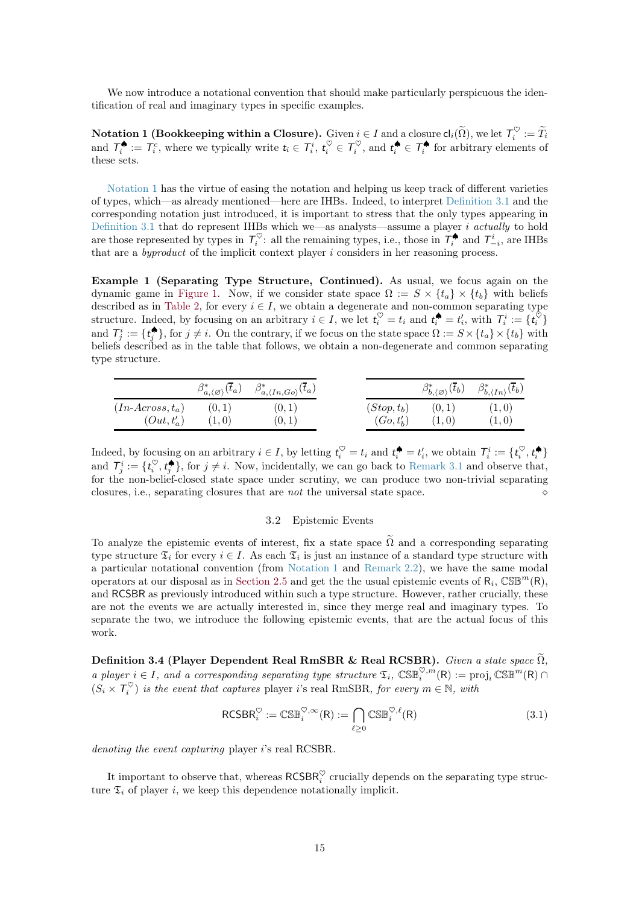<span id="page-14-1"></span>We now introduce a notational convention that should make particularly perspicuous the identification of real and imaginary types in specific examples.

Notation 1 (Bookkeeping within a Closure). Given  $i\in I$  and a closure  $\mathsf{cl}_i(\widetilde{\Omega}),$  we let  $\mathcal{T}_i^\heartsuit:=\widetilde{T}_i$ and  $\mathcal{T}_i^{\spadesuit} := \mathcal{T}_i^c$ , where we typically write  $t_i \in \mathcal{T}_i^{\phi}$ ,  $t_i^{\heartsuit} \in \mathcal{T}_i^{\heartsuit}$ , and  $t_i^{\spadesuit} \in \mathcal{T}_i^{\spadesuit}$  for arbitrary elements of these sets.

[Notation 1](#page-14-1) has the virtue of easing the notation and helping us keep track of different varieties of types, which—as already mentioned—here are IHBs. Indeed, to interpret [Definition 3.1](#page-13-0) and the corresponding notation just introduced, it is important to stress that the only types appearing in [Definition 3.1](#page-13-0) that do represent IHBs which we—as analysts—assume a player  $i$  actually to hold are those represented by types in  $\mathcal{T}_i^{\heartsuit}$ : all the remaining types, i.e., those in  $\mathcal{T}_i^{\spadesuit}$  and  $\mathcal{T}_{-i}^i$ , are IHBs that are a *byproduct* of the implicit context player  $i$  considers in her reasoning process.

Example 1 (Separating Type Structure, Continued). As usual, we focus again on the dynamic game in [Figure 1.](#page-0-0) Now, if we consider state space  $\Omega := S \times \{t_a\} \times \{t_b\}$  with beliefs described as in [Table 2,](#page-12-1) for every  $i \in I$ , we obtain a degenerate and non-common separating type structure. Indeed, by focusing on an arbitrary  $i \in I$ , we let  $t_i^{\heartsuit} = t_i$  and  $t_i^{\spadesuit} = t_i'$ , with  $\mathcal{T}_i^i := \{t_i^{\heartsuit}\}\$ and  $\mathcal{T}_j^i := \{t_j^{\spadesuit}\}\$ , for  $j \neq i$ . On the contrary, if we focus on the state space  $\Omega := S \times \{t_a\} \times \{t_b\}$  with beliefs described as in the table that follows, we obtain a non-degenerate and common separating type structure.

|                    | $\beta^*_{a,\langle\varnothing\rangle}(\overline{t}_a)$ | $\beta^*_{a,\langle In,Go\rangle}(\overline{t}_a)$ |                | $\beta^*_{b,\langle\varnothing\rangle}(\overline{t}_b)$ | $\beta^*_{b,\langle In \rangle}(\overline{t}_b)$ |
|--------------------|---------------------------------------------------------|----------------------------------------------------|----------------|---------------------------------------------------------|--------------------------------------------------|
| $(In-Across, t_a)$ | (0,1)                                                   | (0,1)                                              | $(Stop, t_b)$  | (0,1)                                                   | (1,0)                                            |
| $(Out, t'_a)$      | (1,0)                                                   | (0,1)                                              | $(Go, t'_{h})$ | (1,0)                                                   | (1,0)                                            |

Indeed, by focusing on an arbitrary  $i \in I$ , by letting  $t_i^{\heartsuit} = t_i$  and  $t_i^{\spadesuit} = t'_i$ , we obtain  $\mathcal{T}_i^i := \{t_i^{\heartsuit}, t_i^{\clubsuit}\}$ and  $\mathcal{T}_j^i := \{t_i^{\heartsuit}, t_j^{\spadesuit}\},$  for  $j \neq i$ . Now, incidentally, we can go back to [Remark 3.1](#page-13-2) and observe that, for the non-belief-closed state space under scrutiny, we can produce two non-trivial separating closures, i.e., separating closures that are *not* the universal state space.

#### 3.2 Epistemic Events

To analyze the epistemic events of interest, fix a state space  $\tilde{\Omega}$  and a corresponding separating type structure  $\mathfrak{T}_i$  for every  $i \in I$ . As each  $\mathfrak{T}_i$  is just an instance of a standard type structure with a particular notational convention (from [Notation 1](#page-14-1) and [Remark 2.2\)](#page-10-5), we have the same modal operators at our disposal as in [Section 2.5](#page-9-7) and get the the usual epistemic events of  $R_i$ ,  $\mathbb{CSE}^m(R)$ , and RCSBR as previously introduced within such a type structure. However, rather crucially, these are not the events we are actually interested in, since they merge real and imaginary types. To separate the two, we introduce the following epistemic events, that are the actual focus of this work.

<span id="page-14-0"></span>Definition 3.4 (Player Dependent Real RmSBR & Real RCSBR). Given a state space  $\tilde{\Omega}$ , a player  $i \in I$ , and a corresponding separating type structure  $\mathfrak{T}_i$ ,  $\mathbb{CSE}^{\mathfrak{D},m}(\mathsf{R}) := \text{proj}_i \mathbb{CSE}^m(\mathsf{R}) \cap$  $(S_i \times T_i^{\heartsuit})$  is the event that captures player i's real RmSBR, for every  $m \in \mathbb{N}$ , with

$$
RCSBR_i^{\heartsuit} := \mathbb{CSB}_i^{\heartsuit, \infty}(R) := \bigcap_{\ell \ge 0} \mathbb{CSB}_i^{\heartsuit, \ell}(R) \tag{3.1}
$$

denoting the event capturing player *i*'s real RCSBR.

It important to observe that, whereas  $\mathsf{RCSBR}_i^\heartsuit$  crucially depends on the separating type structure  $\mathfrak{T}_i$  of player i, we keep this dependence notationally implicit.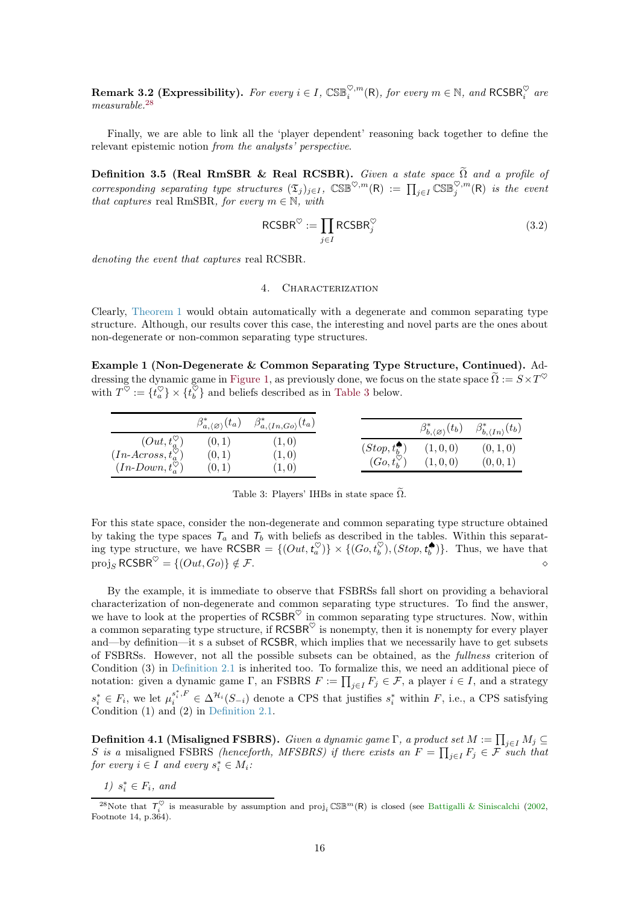<span id="page-15-5"></span>**Remark 3.2 (Expressibility).** For every  $i \in I$ ,  $\mathbb{CSE}^{\heartsuit,m}_{i}(\mathsf{R})$ , for every  $m \in \mathbb{N}$ , and  $\mathsf{RCSBR}^{\heartsuit}_{i}$  are measurable.[28](#page-15-3)

<span id="page-15-0"></span>Finally, we are able to link all the 'player dependent' reasoning back together to define the relevant epistemic notion from the analysts' perspective.

Definition 3.5 (Real RmSBR & Real RCSBR). Given a state space  $\Omega$  and a profile of corresponding separating type structures  $(\mathfrak{T}_j)_{j\in I}$ ,  $\mathbb{CSE}^{\heartsuit,m}(\mathsf{R}) := \prod_{j\in I} \mathbb{CSE}_j^{\heartsuit,m}(\mathsf{R})$  is the event that captures real RmSBR, for every  $m \in \mathbb{N}$ , with

$$
\text{RCSBR}^{\heartsuit} := \prod_{j \in I} \text{RCSBR}_j^{\heartsuit} \tag{3.2}
$$

<span id="page-15-2"></span>denoting the event that captures real RCSBR.

## 4. Characterization

Clearly, [Theorem 1](#page-10-2) would obtain automatically with a degenerate and common separating type structure. Although, our results cover this case, the interesting and novel parts are the ones about non-degenerate or non-common separating type structures.

Example 1 (Non-Degenerate & Common Separating Type Structure, Continued). Ad-dressing the dynamic game in [Figure 1,](#page-0-0) as previously done, we focus on the state space  $\widetilde{\Omega}:=S\times T^{\heartsuit}$ with  $T^{\heartsuit} := \{t_a^{\heartsuit}\} \times \{t_b^{\heartsuit}\}$  and beliefs described as in [Table 3](#page-15-4) below.

<span id="page-15-4"></span>

|                                                                                              | $\beta^*_{a,\langle\varnothing\rangle}(t_a)$ | $\beta^*_{a,\langle In,Go \rangle}(t_a)$ |                                                             | $\beta^*_{b, \langle \varnothing \rangle}(t_b)$ | $\beta^*_{b,\langle In \rangle}(t_b)$ |
|----------------------------------------------------------------------------------------------|----------------------------------------------|------------------------------------------|-------------------------------------------------------------|-------------------------------------------------|---------------------------------------|
| $(Out, t_a^{\heartsuit})$<br>$(In-Across,t_a^{\heartsuit})$<br>$(In-Down, t_a^{\heartsuit})$ | (0,1)<br>(0,1)<br>(0,1)                      | (1,0)<br>(1,0)<br>(1,0)                  | $(Stop, t_b^{\bullet})$<br>$(Go, t_h^{\tilde{\heartsuit}})$ | (1,0,0)<br>(1,0,0)                              | (0,1,0)<br>(0, 0, 1)                  |

Table 3: Players' IHBs in state space  $\widetilde{\Omega}$ .

For this state space, consider the non-degenerate and common separating type structure obtained by taking the type spaces  $T_a$  and  $T_b$  with beliefs as described in the tables. Within this separating type structure, we have  $RCSBR = \{ (Out, t_a^{\heartsuit}) \} \times \{ (Go, t_b^{\heartsuit}), (Stop, t_b^{\spadesuit}) \}$ . Thus, we have that proj<sub>s</sub> RCSBR<sup> $\heartsuit$ </sup> = {( $Out, Go$ )}  $\notin \mathcal{F}$ .

By the example, it is immediate to observe that FSBRSs fall short on providing a behavioral characterization of non-degenerate and common separating type structures. To find the answer, we have to look at the properties of  $RCSBR^{\heartsuit}$  in common separating type structures. Now, within a common separating type structure, if  $RCSBR^{\heartsuit}$  is nonempty, then it is nonempty for every player and—by definition—it s a subset of RCSBR, which implies that we necessarily have to get subsets of FSBRSs. However, not all the possible subsets can be obtained, as the fullness criterion of Condition (3) in [Definition 2.1](#page-6-2) is inherited too. To formalize this, we need an additional piece of notation: given a dynamic game  $\Gamma$ , an FSBRS  $F := \prod_{j \in I} F_j \in \mathcal{F}$ , a player  $i \in I$ , and a strategy  $s_i^* \in F_i$ , we let  $\mu_i^{s_i^*, F} \in \Delta^{\mathcal{H}_i}(S_{-i})$  denote a CPS that justifies  $s_i^*$  within F, i.e., a CPS satisfying Condition (1) and (2) in [Definition 2.1.](#page-6-2)

<span id="page-15-1"></span>**Definition 4.1 (Misaligned FSBRS).** Given a dynamic game  $\Gamma$ , a product set  $M := \prod_{j \in I} M_j \subseteq$ S is a misaligned FSBRS (henceforth, MFSBRS) if there exists an  $F = \prod_{j \in I} F_j \in \mathcal{F}$  such that for every  $i \in I$  and every  $s_i^* \in M_i$ :

1)  $s_i^* \in F_i$ , and

<span id="page-15-3"></span><sup>&</sup>lt;sup>28</sup>Note that  $\mathcal{T}_i^{\heartsuit}$  is measurable by assumption and proj<sub>i</sub>  $\mathbb{CSE}^m(R)$  is closed (see [Battigalli & Siniscalchi](#page-22-1) [\(2002,](#page-22-1) Footnote 14, p.364).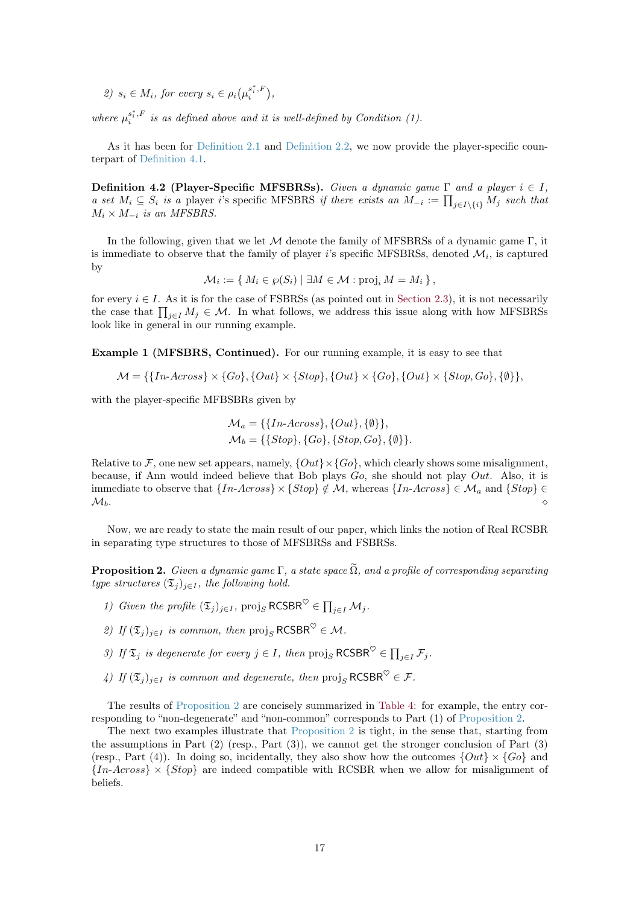2)  $s_i \in M_i$ , for every  $s_i \in \rho_i(\mu_i^{s_i^*,F})$  $\binom{s_i^*,F}{i},$ 

where  $\mu_i^{s_i^*,F}$  $i_i^{s_i,r}$  is as defined above and it is well-defined by Condition (1).

<span id="page-16-1"></span>As it has been for [Definition 2.1](#page-6-2) and [Definition 2.2,](#page-7-1) we now provide the player-specific counterpart of [Definition 4.1.](#page-15-1)

Definition 4.2 (Player-Specific MFSBRSs). Given a dynamic game  $\Gamma$  and a player  $i \in I$ , a set  $M_i \subseteq S_i$  is a player i's specific MFSBRS if there exists an  $M_{-i} := \prod_{j \in I \setminus \{i\}} M_j$  such that  $M_i \times M_{-i}$  is an MFSBRS.

In the following, given that we let  $\mathcal M$  denote the family of MFSBRSs of a dynamic game  $\Gamma$ , it is immediate to observe that the family of player *i*'s specific MFSBRSs, denoted  $\mathcal{M}_i$ , is captured by

$$
\mathcal{M}_i := \{ M_i \in \wp(S_i) \mid \exists M \in \mathcal{M} : \text{proj}_i M = M_i \},
$$

for every  $i \in I$ . As it is for the case of FSBRSs (as pointed out in [Section 2.3\)](#page-6-3), it is not necessarily the case that  $\prod_{j\in I} M_j \in \mathcal{M}$ . In what follows, we address this issue along with how MFSBRSs look like in general in our running example.

Example 1 (MFSBRS, Continued). For our running example, it is easy to see that

$$
\mathcal{M} = \{ \{In-Across\} \times \{Go\}, \{Out\} \times \{Stop\}, \{Out\} \times \{Go\}, \{Out\} \times \{Stop, Go\}, \{\emptyset\} \},
$$

with the player-specific MFBSBRs given by

$$
\mathcal{M}_a = \{ \{In-Across\}, \{Out\}, \{\emptyset\} \}, \n\mathcal{M}_b = \{ \{Stop\}, \{Go\}, \{Stop, Go\}, \{\emptyset\} \}
$$

Relative to F, one new set appears, namely,  $\{Out\} \times \{Go\}$ , which clearly shows some misalignment, because, if Ann would indeed believe that Bob plays  $Go$ , she should not play  $Out.$  Also, it is immediate to observe that  $\{In-Across\}\times\{Stop\} \notin \mathcal{M}$ , whereas  $\{In-Across\}\in \mathcal{M}_a$  and  $\{Stop\} \in$  $\mathcal{M}_b$ .

<span id="page-16-0"></span>Now, we are ready to state the main result of our paper, which links the notion of Real RCSBR in separating type structures to those of MFSBRSs and FSBRSs.

**Proposition 2.** Given a dynamic game  $\Gamma$ , a state space  $\widetilde{\Omega}$ , and a profile of corresponding separating type structures  $(\mathfrak{T}_i)_{i\in I}$ , the following hold.

- 1) Given the profile  $(\mathfrak{T}_j)_{j\in I}$ , proj<sub>S</sub> RCSBR<sup> $\heartsuit \in \prod_{j\in I} \mathcal{M}_j$ .</sup>
- 2) If  $(\mathfrak{T}_i)_{i\in I}$  is common, then  $\text{proj}_S \text{RCSBR}^{\heartsuit} \in \mathcal{M}$ .
- 3) If  $\mathfrak{T}_j$  is degenerate for every  $j \in I$ , then  $\text{proj}_S \, \text{RCSBR}^{\heartsuit} \in \prod_{j \in I} \mathcal{F}_j$ .
- 4) If  $(\mathfrak{T}_j)_{j\in I}$  is common and degenerate, then  $\text{proj}_S \text{RCSBR}^{\heartsuit} \in \mathcal{F}$ .

The results of [Proposition 2](#page-16-0) are concisely summarized in [Table 4:](#page-17-2) for example, the entry corresponding to "non-degenerate" and "non-common" corresponds to Part (1) of [Proposition 2.](#page-16-0)

The next two examples illustrate that [Proposition 2](#page-16-0) is tight, in the sense that, starting from the assumptions in Part  $(2)$  (resp., Part  $(3)$ ), we cannot get the stronger conclusion of Part  $(3)$ (resp., Part (4)). In doing so, incidentally, they also show how the outcomes  $\{Out\} \times \{Go\}$  and  ${In-Across} \times {Stop}$  are indeed compatible with RCSBR when we allow for misalignment of beliefs.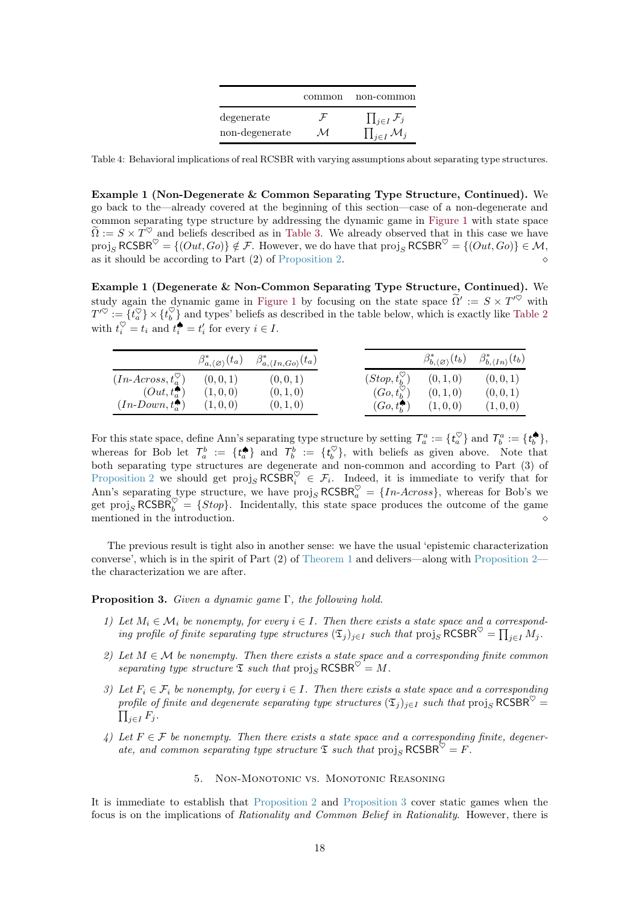|                | common | non-common                     |
|----------------|--------|--------------------------------|
| degenerate     |        | $\prod_{j\in I} \mathcal{F}_j$ |
| non-degenerate | М      | $\prod_{j\in I} M_j$           |

<span id="page-17-2"></span>Table 4: Behavioral implications of real RCSBR with varying assumptions about separating type structures.

Example 1 (Non-Degenerate & Common Separating Type Structure, Continued). We go back to the—already covered at the beginning of this section—case of a non-degenerate and common separating type structure by addressing the dynamic game in [Figure 1](#page-0-0) with state space  $\widetilde{\Omega} := S \times T^{\heartsuit}$  and beliefs described as in [Table 3.](#page-15-4) We already observed that in this case we have  $proj_S \, \text{RCSBR}^{\heartsuit} = \{ (Out, Go) \} \notin \mathcal{F}$ . However, we do have that  $proj_S \, \text{RCSBR}^{\heartsuit} = \{ (Out, Go) \} \in \mathcal{M}$ , as it should be according to Part  $(2)$  of [Proposition 2.](#page-16-0)

Example 1 (Degenerate & Non-Common Separating Type Structure, Continued). We study again the dynamic game in [Figure 1](#page-0-0) by focusing on the state space  $\tilde{\Omega}' := S \times T'^{\heartsuit}$  with  $T'^{\heartsuit} := \{t_a^{\heartsuit}\} \times \{t_b^{\heartsuit}\}$  and types' beliefs as described in the table below, which is exactly like [Table 2](#page-12-1) with  $t_i^{\heartsuit} = t_i$  and  $t_i^{\spadesuit} = t_i'$  for every  $i \in I$ .

|                                   | $\beta^*_{a,\langle\varnothing\rangle}(t_a)$ | $\beta^*_{a,\langle In,Go \rangle}(t_a)$ |                            | $\beta^*_{b, \langle \varnothing \rangle}(t_b)$ | $\beta^*_{b,\langle In \rangle}(t_b)$ |
|-----------------------------------|----------------------------------------------|------------------------------------------|----------------------------|-------------------------------------------------|---------------------------------------|
| $(In-Across, t_{a}^{\heartsuit})$ | (0,0,1)                                      | (0, 0, 1)                                | $(Stop, t_b^{\heartsuit})$ | (0, 1, 0)                                       | (0,0,1)                               |
| $(Out,t_{a}^{\spadesuit})$        | (1,0,0)                                      | (0, 1, 0)                                | $(Go, t_k^{\heartsuit})$   | (0, 1, 0)                                       | (0,0,1)                               |
| $(In-Down, t_a^{\bullet})$        | (1,0,0)                                      | (0, 1, 0)                                | $(Go, t_h^{\bullet})$      | (1,0,0)                                         | (1,0,0)                               |

For this state space, define Ann's separating type structure by setting  $\mathcal{T}_a^a := \{t_a^{\heartsuit}\}\$  and  $\mathcal{T}_b^a := \{t_b^{\spadesuit}\}\$ , whereas for Bob let  $\mathcal{T}_a^b := \{t_a^{\bigcirc}\}\$  and  $\mathcal{T}_b^b := \{t_b^{\heartsuit}\}\$ , with beliefs as given above. Note that both separating type structures are degenerate and non-common and according to Part (3) of [Proposition 2](#page-16-0) we should get  $proj_S RCSBR_i^{\heartsuit} \in \mathcal{F}_i$ . Indeed, it is immediate to verify that for Ann's separating type structure, we have  $\text{proj}_S \text{RCSBR}_a^{\heartsuit} = \{In-Across\}$ , whereas for Bob's we get proj<sub>S</sub> RCSBR<sup> $\heartsuit$ </sup> = {Stop}. Incidentally, this state space produces the outcome of the game mentioned in the introduction.

<span id="page-17-1"></span>The previous result is tight also in another sense: we have the usual 'epistemic characterization converse', which is in the spirit of Part  $(2)$  of [Theorem 1](#page-10-2) and delivers—along with [Proposition 2](#page-16-0) the characterization we are after.

#### **Proposition 3.** Given a dynamic game  $\Gamma$ , the following hold.

- 1) Let  $M_i \in \mathcal{M}_i$  be nonempty, for every  $i \in I$ . Then there exists a state space and a corresponding profile of finite separating type structures  $(\mathfrak{T}_j)_{j\in I}$  such that  $\text{proj}_S \text{RCSBR}^{\heartsuit} = \prod_{j\in I} M_j$ .
- 2) Let  $M \in \mathcal{M}$  be nonempty. Then there exists a state space and a corresponding finite common separating type structure  $\mathfrak T$  such that  $\text{proj}_S \, \text{RCSBR}^{\heartsuit} = M$ .
- 3) Let  $F_i \in \mathcal{F}_i$  be nonempty, for every  $i \in I$ . Then there exists a state space and a corresponding profile of finite and degenerate separating type structures  $(\mathfrak{T}_j)_{j\in I}$  such that  $\text{proj}_S \, \text{RCSBR}^{\heartsuit} = \prod_{j\in I} K_j$  $\prod_{i\in I} F_i$ .
- 4) Let  $F \in \mathcal{F}$  be nonempty. Then there exists a state space and a corresponding finite, degenerate, and common separating type structure  $\mathfrak T$  such that  $\text{proj}_S \text{RCSBR}^{\heartsuit} = F$ .

## 5. Non-Monotonic vs. Monotonic Reasoning

<span id="page-17-0"></span>It is immediate to establish that [Proposition 2](#page-16-0) and [Proposition 3](#page-17-1) cover static games when the focus is on the implications of Rationality and Common Belief in Rationality. However, there is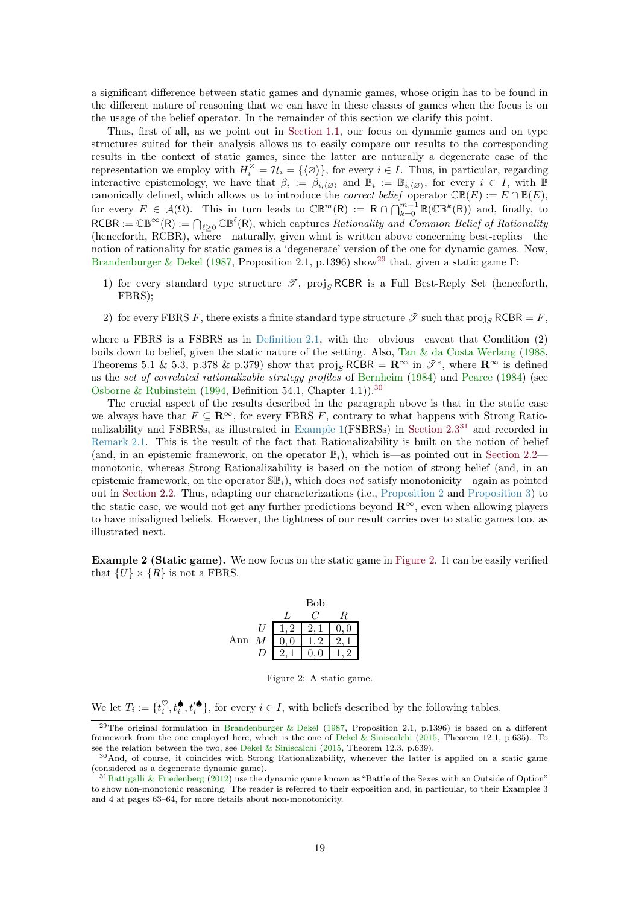<span id="page-18-4"></span>a significant difference between static games and dynamic games, whose origin has to be found in the different nature of reasoning that we can have in these classes of games when the focus is on the usage of the belief operator. In the remainder of this section we clarify this point.

Thus, first of all, as we point out in [Section 1.1,](#page-0-2) our focus on dynamic games and on type structures suited for their analysis allows us to easily compare our results to the corresponding results in the context of static games, since the latter are naturally a degenerate case of the representation we employ with  $H_i^{\emptyset} = \mathcal{H}_i = {\{\langle \emptyset \rangle\}}$ , for every  $i \in I$ . Thus, in particular, regarding interactive epistemology, we have that  $\beta_i := \beta_{i, \langle \emptyset \rangle}$  and  $\mathbb{B}_i := \mathbb{B}_{i, \langle \emptyset \rangle}$ , for every  $i \in I$ , with  $\mathbb{B}$ canonically defined, which allows us to introduce the *correct belief* operator  $\mathbb{CB}(E) := E \cap \mathbb{B}(E)$ , for every  $E \in \mathcal{A}(\Omega)$ . This in turn leads to  $\mathbb{CB}^m(\mathsf{R}) := \mathsf{R} \cap \bigcap_{k=0}^{m-1} \mathbb{B}(\mathbb{CB}^k(\mathsf{R}))$  and, finally, to  $RCBR := \mathbb{CB}^{\infty}(R) := \bigcap_{\ell \geq 0} \mathbb{CB}^{\ell}(R)$ , which captures Rationality and Common Belief of Rationality (henceforth, RCBR), where—naturally, given what is written above concerning best-replies—the notion of rationality for static games is a 'degenerate' version of the one for dynamic games. Now, [Brandenburger & Dekel](#page-22-3) [\(1987,](#page-22-3) Proposition 2.1, p.1396) show[29](#page-18-0) that, given a static game Γ:

- 1) for every standard type structure  $\mathscr{T}$ , proj<sub>S</sub> RCBR is a Full Best-Reply Set (henceforth, FBRS);
- 2) for every FBRS F, there exists a finite standard type structure  $\mathscr{T}$  such that proj<sub>S</sub> RCBR = F,

where a FBRS is a FSBRS as in [Definition 2.1,](#page-6-2) with the—obvious—caveat that Condition (2) boils down to belief, given the static nature of the setting. Also, [Tan & da Costa Werlang](#page-24-3) [\(1988,](#page-24-3) Theorems 5.1 & 5.3, p.378 & p.379) show that  $\text{proj}_S \, \text{RCBR} = \mathbb{R}^\infty$  in  $\mathscr{T}^*$ , where  $\mathbb{R}^\infty$  is defined as the set of correlated rationalizable strategy profiles of [Bernheim](#page-22-19) [\(1984\)](#page-22-19) and [Pearce](#page-23-0) [\(1984](#page-23-0)) (see [Osborne & Rubinstein](#page-23-13) [\(1994](#page-23-13), Definition 54.1, Chapter 4.1)).<sup>[30](#page-18-1)</sup>

The crucial aspect of the results described in the paragraph above is that in the static case we always have that  $F \subseteq \mathbb{R}^{\infty}$ , for every FBRS F, contrary to what happens with Strong Rationalizability and FSBRSs, as illustrated in Example  $1(FSBRSs)$  in Section  $2.3^{31}$  $2.3^{31}$  $2.3^{31}$  and recorded in [Remark 2.1.](#page-7-3) This is the result of the fact that Rationalizability is built on the notion of belief (and, in an epistemic framework, on the operator  $\mathbb{B}_i$ ), which is—as pointed out in [Section 2.2](#page-5-2) monotonic, whereas Strong Rationalizability is based on the notion of strong belief (and, in an epistemic framework, on the operator  $\mathbb{S}\mathbb{B}_i$ , which does not satisfy monotonicity—again as pointed out in [Section 2.2.](#page-5-2) Thus, adapting our characterizations (i.e., [Proposition 2](#page-16-0) and [Proposition 3\)](#page-17-1) to the static case, we would not get any further predictions beyond  $\mathbb{R}^{\infty}$ , even when allowing players to have misaligned beliefs. However, the tightness of our result carries over to static games too, as illustrated next.

<span id="page-18-3"></span>Example 2 (Static game). We now focus on the static game in [Figure 2.](#page-18-3) It can be easily verified that  $\{U\}\times\{R\}$  is not a FBRS.

|     |                | Bob |    |
|-----|----------------|-----|----|
|     |                |     | R. |
|     | $\overline{U}$ |     |    |
| Ann | М              |     |    |
|     |                |     |    |

Figure 2: A static game.

We let  $T_i := \{t_i^{\heartsuit}, t_i^{\spadesuit}, t_i^{\heartsuit}\}\text{, for every } i \in I$ , with beliefs described by the following tables.

<span id="page-18-0"></span><sup>&</sup>lt;sup>29</sup>The original formulation in [Brandenburger & Dekel](#page-22-3) [\(1987](#page-22-3), Proposition 2.1, p.1396) is based on a different framework from the one employed here, which is the one of [Dekel & Siniscalchi](#page-23-5) [\(2015](#page-23-5), Theorem 12.1, p.635). To see the relation between the two, see [Dekel & Siniscalchi](#page-23-5) [\(2015,](#page-23-5) Theorem 12.3, p.639).

<span id="page-18-1"></span><sup>30</sup>And, of course, it coincides with Strong Rationalizability, whenever the latter is applied on a static game (considered as a degenerate dynamic game).

<span id="page-18-2"></span><sup>&</sup>lt;sup>31</sup>[Battigalli & Friedenberg](#page-22-0) [\(2012](#page-22-0)) use the dynamic game known as "Battle of the Sexes with an Outside of Option" to show non-monotonic reasoning. The reader is referred to their exposition and, in particular, to their Examples 3 and 4 at pages 63–64, for more details about non-monotonicity.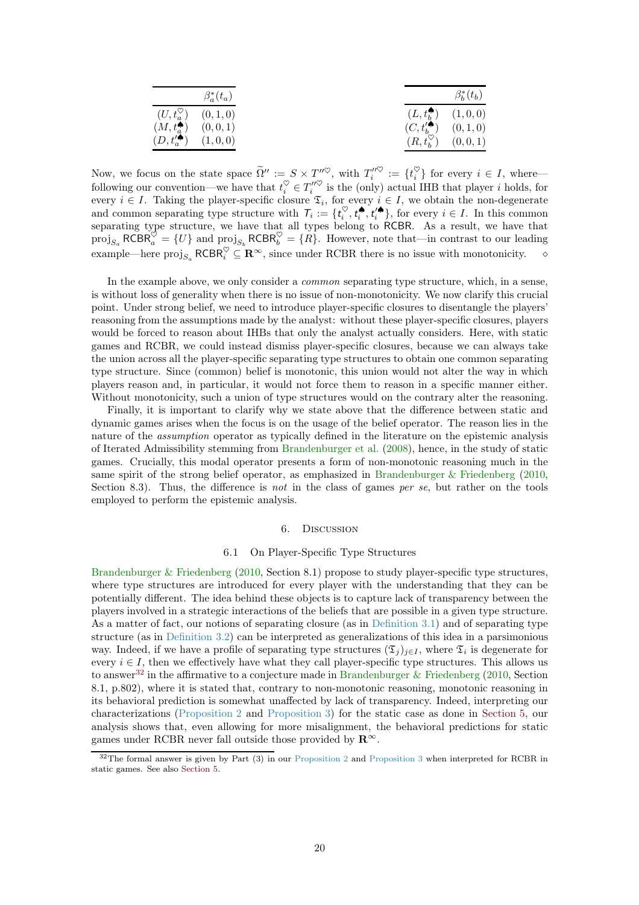<span id="page-19-3"></span>

|                                        | $\beta_a^*(t_a)$                    |                                        | $\beta_h^*(t_b)$                    |
|----------------------------------------|-------------------------------------|----------------------------------------|-------------------------------------|
|                                        | $(U, t_a^{\heartsuit})$ $(0, 1, 0)$ |                                        | $(L, t_h^{\spadesuit})$ $(1, 0, 0)$ |
| $(M, t_a^{\spadesuit})$ $(0, 0, 1)$    |                                     | $(C, t'^{\spadesuit}_{b})$ $(0, 1, 0)$ |                                     |
| $(D, t'^{\spadesuit}_{a})$ $(1, 0, 0)$ |                                     | $(R, t_h^{\heartsuit})$ $(0, 0, 1)$    |                                     |

Now, we focus on the state space  $\widetilde{\Omega}'' := S \times T''^{\heartsuit}$ , with  $T''_i{}^{\heartsuit} := \{t_i^{\heartsuit}\}$  for every  $i \in I$ , where following our convention—we have that  $t_i^{\heartsuit} \in T_i''^{\heartsuit}$  is the (only) actual IHB that player *i* holds, for every  $i \in I$ . Taking the player-specific closure  $\mathfrak{T}_i$ , for every  $i \in I$ , we obtain the non-degenerate and common separating type structure with  $T_i := \{t_i^{\heartsuit}, t_i^{\spadesuit}, t_i^{\spadesuit}\}\$ , for every  $i \in I$ . In this common separating type structure, we have that all types belong to RCBR. As a result, we have that  $\text{proj}_{S_a} \text{RCBR}^{\heartsuit}_a = \{U\}$  and  $\text{proj}_{S_b} \text{RCBR}^{\heartsuit}_b = \{R\}.$  However, note that—in contrast to our leading example—here  $\text{proj}_{S_a} \text{RCBR}_i^{\heartsuit} \subseteq \mathbb{R}^{\infty}$ , since under RCBR there is no issue with monotonicity.  $\diamond$ 

In the example above, we only consider a *common* separating type structure, which, in a sense, is without loss of generality when there is no issue of non-monotonicity. We now clarify this crucial point. Under strong belief, we need to introduce player-specific closures to disentangle the players' reasoning from the assumptions made by the analyst: without these player-specific closures, players would be forced to reason about IHBs that only the analyst actually considers. Here, with static games and RCBR, we could instead dismiss player-specific closures, because we can always take the union across all the player-specific separating type structures to obtain one common separating type structure. Since (common) belief is monotonic, this union would not alter the way in which players reason and, in particular, it would not force them to reason in a specific manner either. Without monotonicity, such a union of type structures would on the contrary alter the reasoning.

Finally, it is important to clarify why we state above that the difference between static and dynamic games arises when the focus is on the usage of the belief operator. The reason lies in the nature of the assumption operator as typically defined in the literature on the epistemic analysis of Iterated Admissibility stemming from [Brandenburger et al.](#page-23-21) [\(2008\)](#page-23-21), hence, in the study of static games. Crucially, this modal operator presents a form of non-monotonic reasoning much in the same spirit of the strong belief operator, as emphasized in [Brandenburger & Friedenberg](#page-23-1) [\(2010,](#page-23-1) Section 8.3). Thus, the difference is not in the class of games per se, but rather on the tools employed to perform the epistemic analysis.

#### 6. Discussion

#### 6.1 On Player-Specific Type Structures

<span id="page-19-1"></span><span id="page-19-0"></span>[Brandenburger & Friedenberg](#page-23-1) [\(2010,](#page-23-1) Section 8.1) propose to study player-specific type structures, where type structures are introduced for every player with the understanding that they can be potentially different. The idea behind these objects is to capture lack of transparency between the players involved in a strategic interactions of the beliefs that are possible in a given type structure. As a matter of fact, our notions of separating closure (as in [Definition 3.1\)](#page-13-0) and of separating type structure (as in [Definition 3.2\)](#page-13-1) can be interpreted as generalizations of this idea in a parsimonious way. Indeed, if we have a profile of separating type structures  $(\mathfrak{T}_j)_{j\in I}$ , where  $\mathfrak{T}_i$  is degenerate for every  $i \in I$ , then we effectively have what they call player-specific type structures. This allows us to answer<sup>[32](#page-19-2)</sup> in the affirmative to a conjecture made in [Brandenburger & Friedenberg](#page-23-1) [\(2010](#page-23-1), Section 8.1, p.802), where it is stated that, contrary to non-monotonic reasoning, monotonic reasoning in its behavioral prediction is somewhat unaffected by lack of transparency. Indeed, interpreting our characterizations [\(Proposition 2](#page-16-0) and [Proposition 3\)](#page-17-1) for the static case as done in [Section 5,](#page-17-0) our analysis shows that, even allowing for more misalignment, the behavioral predictions for static games under RCBR never fall outside those provided by  $\mathbb{R}^{\infty}$ .

<span id="page-19-2"></span> $32$ The formal answer is given by Part (3) in our [Proposition 2](#page-16-0) and [Proposition 3](#page-17-1) when interpreted for RCBR in static games. See also [Section 5.](#page-17-0)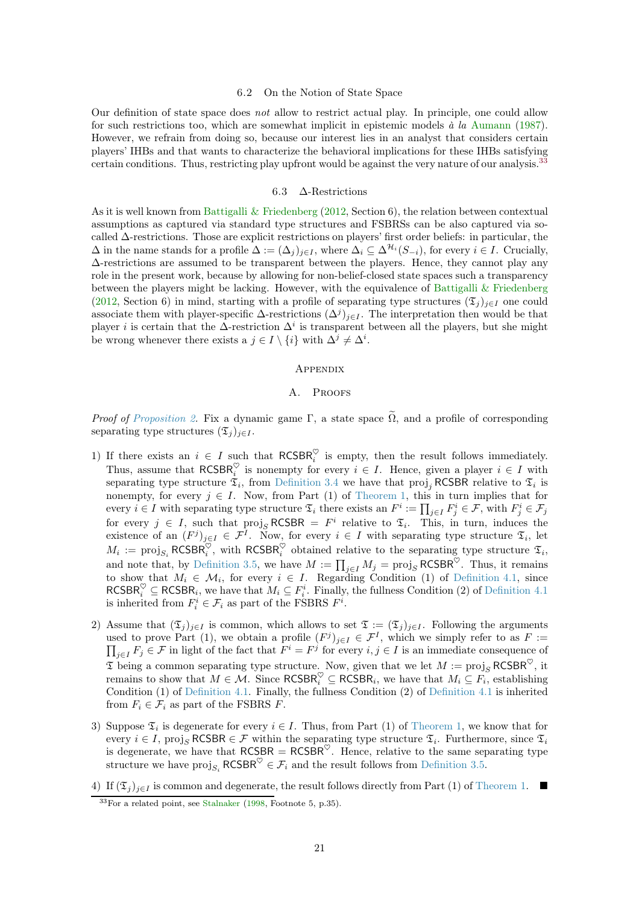#### 6.2 On the Notion of State Space

<span id="page-20-2"></span>Our definition of state space does not allow to restrict actual play. In principle, one could allow for such restrictions too, which are somewhat implicit in epistemic models  $\dot{a}$  la [Aumann](#page-22-11) [\(1987\)](#page-22-11). However, we refrain from doing so, because our interest lies in an analyst that considers certain players' IHBs and that wants to characterize the behavioral implications for these IHBs satisfying certain conditions. Thus, restricting play upfront would be against the very nature of our analysis.<sup>[33](#page-20-1)</sup>

#### 6.3 ∆-Restrictions

As it is well known from [Battigalli & Friedenberg](#page-22-0) [\(2012,](#page-22-0) Section 6), the relation between contextual assumptions as captured via standard type structures and FSBRSs can be also captured via socalled ∆-restrictions. Those are explicit restrictions on players' first order beliefs: in particular, the  $\Delta$  in the name stands for a profile  $\Delta := (\Delta_i)_{i \in I}$ , where  $\Delta_i \subseteq \Delta^{\mathcal{H}_i}(S_{-i})$ , for every  $i \in I$ . Crucially, ∆-restrictions are assumed to be transparent between the players. Hence, they cannot play any role in the present work, because by allowing for non-belief-closed state spaces such a transparency between the players might be lacking. However, with the equivalence of Battigalli  $&$  Friedenberg [\(2012,](#page-22-0) Section 6) in mind, starting with a profile of separating type structures  $(\mathfrak{T}_i)_{i\in I}$  one could associate them with player-specific  $\Delta$ -restrictions  $(\Delta^j)_{j\in I}$ . The interpretation then would be that player *i* is certain that the  $\Delta$ -restriction  $\Delta^i$  is transparent between all the players, but she might be wrong whenever there exists a  $j \in I \setminus \{i\}$  with  $\Delta^j \neq \Delta^i$ .

## **APPENDIX**

## A. PROOFS

<span id="page-20-0"></span>*Proof of [Proposition 2.](#page-16-0)* Fix a dynamic game Γ, a state space  $\tilde{\Omega}$ , and a profile of corresponding separating type structures  $(\mathfrak{T}_i)_{i\in I}$ .

- 1) If there exists an  $i \in I$  such that  $RCSBR_i^{\heartsuit}$  is empty, then the result follows immediately. Thus, assume that  $RCSBR_i^{\heartsuit}$  is nonempty for every  $i \in I$ . Hence, given a player  $i \in I$  with separating type structure  $\mathfrak{T}_i$ , from [Definition 3.4](#page-14-0) we have that proj<sub>j</sub> RCSBR relative to  $\mathfrak{T}_i$  is nonempty, for every  $j \in I$ . Now, from Part (1) of [Theorem 1,](#page-10-2) this in turn implies that for every  $i \in I$  with separating type structure  $\mathfrak{T}_i$  there exists an  $F^i := \prod_{j \in I} F^i_j \in \mathcal{F}$ , with  $F^i_j \in \mathcal{F}_j$ for every  $j \in I$ , such that  $proj_S RCSBR = F^i$  relative to  $\mathfrak{T}_i$ . This, in turn, induces the existence of an  $(F^j)_{j\in I} \in \mathcal{F}^I$ . Now, for every  $i \in I$  with separating type structure  $\mathfrak{T}_i$ , let  $M_i := \text{proj}_{S_i} \text{RCSBR}_i^{\heartsuit}$ , with  $\text{RCSBR}_i^{\heartsuit}$  obtained relative to the separating type structure  $\mathfrak{T}_i$ , and note that, by [Definition 3.5,](#page-15-0) we have  $M := \prod_{j \in I} M_j = \text{proj}_S \, \text{RCSBR}^{\heartsuit}$ . Thus, it remains to show that  $M_i \in \mathcal{M}_i$ , for every  $i \in I$ . Regarding Condition (1) of [Definition 4.1,](#page-15-1) since  $\mathsf{RCSBR}_i^{\heartsuit} \subseteq \mathsf{RCSBR}_i$ , we have that  $M_i \subseteq F_i^i$ . Finally, the fullness Condition (2) of [Definition 4.1](#page-15-1) is inherited from  $F_i^i \in \mathcal{F}_i$  as part of the FSBRS  $F^i$ .
- 2) Assume that  $(\mathfrak{T}_j)_{j\in I}$  is common, which allows to set  $\mathfrak{T} := (\mathfrak{T}_j)_{j\in I}$ . Following the arguments used to prove Part (1), we obtain a profile  $(F^j)_{j\in I} \in \mathcal{F}^I$ , which we simply refer to as  $F :=$  $\prod_{j\in I} F_j \in \mathcal{F}$  in light of the fact that  $F^i = F^j$  for every  $i, j \in I$  is an immediate consequence of  $\mathfrak T$  being a common separating type structure. Now, given that we let  $M := \text{proj}_S \, \text{RCSBR}^{\heartsuit}$ , it remains to show that  $M \in \mathcal{M}$ . Since  $\mathsf{RCSBR}_i^{\heartsuit} \subseteq \mathsf{RCSBR}_i$ , we have that  $M_i \subseteq F_i$ , establishing Condition (1) of [Definition 4.1.](#page-15-1) Finally, the fullness Condition (2) of [Definition 4.1](#page-15-1) is inherited from  $F_i \in \mathcal{F}_i$  as part of the FSBRS F.
- 3) Suppose  $\mathfrak{T}_i$  is degenerate for every  $i \in I$ . Thus, from Part (1) of [Theorem 1,](#page-10-2) we know that for every  $i \in I$ , proj<sub>S</sub> RCSBR  $\in \mathcal{F}$  within the separating type structure  $\mathfrak{T}_i$ . Furthermore, since  $\mathfrak{T}_i$ is degenerate, we have that  $RCSBR = RCSBR^{\heartsuit}$ . Hence, relative to the same separating type structure we have  $\text{proj}_{S_i}$  RCSBR<sup> $\heartsuit \in \mathcal{F}_i$  and the result follows from [Definition 3.5.](#page-15-0)</sup>
- 4) If  $(\mathfrak{T}_j)_{j\in I}$  is common and degenerate, the result follows directly from Part (1) of [Theorem 1.](#page-10-2)

<span id="page-20-1"></span> $33$ For a related point, see [Stalnaker](#page-24-4) [\(1998,](#page-24-4) Footnote 5, p.35).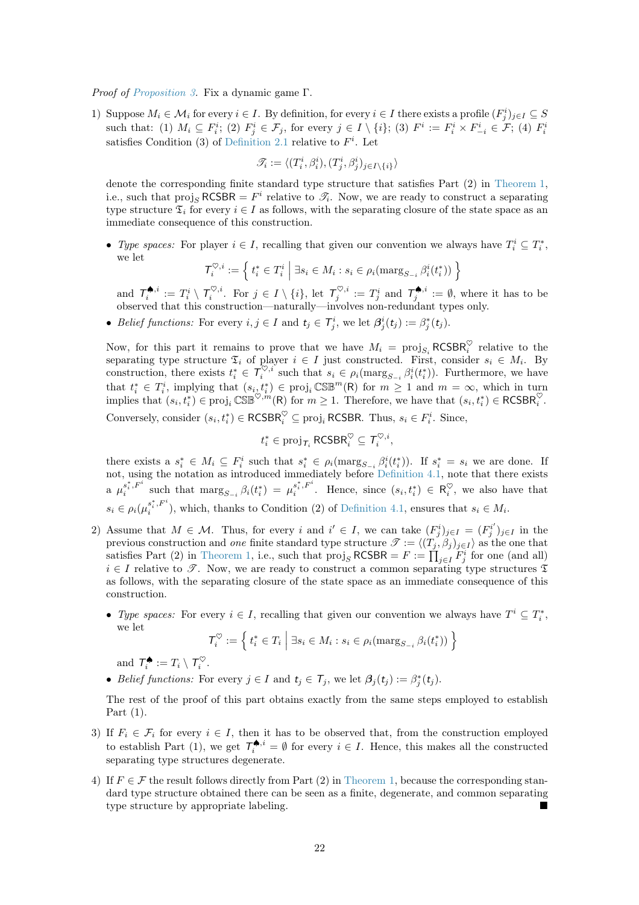Proof of [Proposition 3.](#page-17-1) Fix a dynamic game Γ.

1) Suppose  $M_i \in \mathcal{M}_i$  for every  $i \in I$ . By definition, for every  $i \in I$  there exists a profile  $(F_j^i)_{j \in I} \subseteq S$ such that: (1)  $M_i \subseteq F_i^i$ ; (2)  $F_j^i \in \mathcal{F}_j$ , for every  $j \in I \setminus \{i\}$ ; (3)  $F^i := F_i^i \times F_{-i}^i \in \mathcal{F}$ ; (4)  $F_i^i$ satisfies Condition (3) of [Definition 2.1](#page-6-2) relative to  $F^i$ . Let

$$
\mathscr{T}_i:=\langle (T_i^i,\beta_i^i),(T_j^i,\beta_j^i)_{j\in I\backslash\{i\}}\rangle
$$

denote the corresponding finite standard type structure that satisfies Part (2) in [Theorem 1,](#page-10-2) i.e., such that  $proj_S RCSBR = F^i$  relative to  $\mathcal{T}_i$ . Now, we are ready to construct a separating type structure  $\mathfrak{T}_i$  for every  $i \in I$  as follows, with the separating closure of the state space as an immediate consequence of this construction.

• Type spaces: For player  $i \in I$ , recalling that given our convention we always have  $T_i^i \subseteq T_i^*$ , we let

$$
\mathcal{T}^{\heartsuit,i}_i := \left\{ t^*_i \in T^i_i \mid \exists s_i \in M_i : s_i \in \rho_i(\mathsf{marg}_{S_{-i}} \beta^i_i(t^*_i)) \right\}
$$

and  $\mathcal{T}^{\spadesuit,i}_i := T^i_i \setminus \mathcal{T}^{\heartsuit,i}_i$ . For  $j \in I \setminus \{i\}$ , let  $\mathcal{T}^{\heartsuit,i}_j := T^i_j$  and  $\mathcal{T}^{\spadesuit,i}_j := \emptyset$ , where it has to be observed that this construction—naturally—involves non-redundant types only.

• Belief functions: For every  $i, j \in I$  and  $t_j \in \mathcal{T}_j^i$ , we let  $\beta_j^i(t_j) := \beta_j^*(t_j)$ .

Now, for this part it remains to prove that we have  $M_i = \text{proj}_{S_i} RCSBR_i^{\heartsuit}$  relative to the separating type structure  $\mathfrak{T}_i$  of player  $i \in I$  just constructed. First, consider  $s_i \in M_i$ . By construction, there exists  $t_i^* \in \mathcal{T}_i^{\heartsuit,i}$  such that  $s_i \in \rho_i(\text{marg}_{S_{-i}} \beta_i^i(t_i^*))$ . Furthermore, we have that  $t_i^* \in T_i^i$ , implying that  $(s_{i\lambda} t_i^*) \in \text{proj}_i \text{CSE}^m(\mathsf{R})$  for  $m \geq 1$  and  $m = \infty$ , which in turn implies that  $(s_i, t_i^*) \in \text{proj}_i \mathbb{CSE}^{\heartsuit, m}(R)$  for  $m \geq 1$ . Therefore, we have that  $(s_i, t_i^*) \in \text{RCSBR}_i^{\heartsuit}$ . Conversely, consider  $(s_i, t_i^*) \in \mathsf{RCSBR}_i^\heartsuit \subseteq \text{proj}_i \mathsf{RCSBR}$ . Thus,  $s_i \in F_i^i$ . Since,

$$
t_i^* \in \text{proj}_{\mathcal{T}_i} \, \text{RCSBR}_i^{\heartsuit} \subseteq \mathcal{T}_i^{\heartsuit, i},
$$

there exists a  $s_i^* \in M_i \subseteq F_i^i$  such that  $s_i^* \in \rho_i(\text{marg}_{S_{-i}} \beta_i^i(t_i^*))$ . If  $s_i^* = s_i$  we are done. If not, using the notation as introduced immediately before [Definition 4.1,](#page-15-1) note that there exists a  $\mu_i^{s_i^*,F^i}$  $\int_{i}^{s_i^*,F^i}$  such that  $\text{marg}_{S_{-i}} \beta_i(t_i^*) = \mu_i^{s_i^*,F^i}$  $s_i^{\varepsilon}, F^{\varepsilon}$ . Hence, since  $(s_i, t_i^*) \in \mathsf{R}_i^{\heartsuit}$ , we also have that  $s_i \in \rho_i(\mu_i^{s_i^*,F^i}$  $s_i^{s_i,r}$ , which, thanks to Condition (2) of [Definition 4.1,](#page-15-1) ensures that  $s_i \in M_i$ .

- 2) Assume that  $M \in \mathcal{M}$ . Thus, for every i and  $i' \in I$ , we can take  $(F_j^i)_{j \in I} = (F_j^{i'})$  $j^{i'}j_{j\in I}$  in the previous construction and *one* finite standard type structure  $\mathscr{T} := \langle (T_j, \beta_j)_{j \in I} \rangle$  as the one that satisfies Part (2) in [Theorem 1,](#page-10-2) i.e., such that  $\text{proj}_S RCSBR = F := \prod_{j \in I} \overline{F_j^i}$  for one (and all)  $i \in I$  relative to  $\mathscr{T}$ . Now, we are ready to construct a common separating type structures  $\mathfrak{T}$ as follows, with the separating closure of the state space as an immediate consequence of this construction.
	- Type spaces: For every  $i \in I$ , recalling that given our convention we always have  $T^i \subseteq T_i^*$ , we let

$$
\mathcal{T}^{\heartsuit}_i := \left\{\, t^*_i \in T_i \;\middle|\; \exists s_i \in M_i: s_i \in \rho_i(\text{marg}_{S_{-i}}\,\beta_i(t^*_i)) \,\right\}
$$

and  $\mathcal{T}_{i}^{\spadesuit} := T_{i} \setminus \mathcal{T}_{i}^{\heartsuit}$ .

• Belief functions: For every  $j \in I$  and  $t_j \in \mathcal{T}_j$ , we let  $\beta_j(t_j) := \beta_j^*(t_j)$ .

The rest of the proof of this part obtains exactly from the same steps employed to establish Part (1).

- 3) If  $F_i \in \mathcal{F}_i$  for every  $i \in I$ , then it has to be observed that, from the construction employed to establish Part (1), we get  $\mathcal{T}_{i}^{\spadesuit,i} = \emptyset$  for every  $i \in I$ . Hence, this makes all the constructed separating type structures degenerate.
- 4) If  $F \in \mathcal{F}$  the result follows directly from Part (2) in [Theorem 1,](#page-10-2) because the corresponding standard type structure obtained there can be seen as a finite, degenerate, and common separating type structure by appropriate labeling.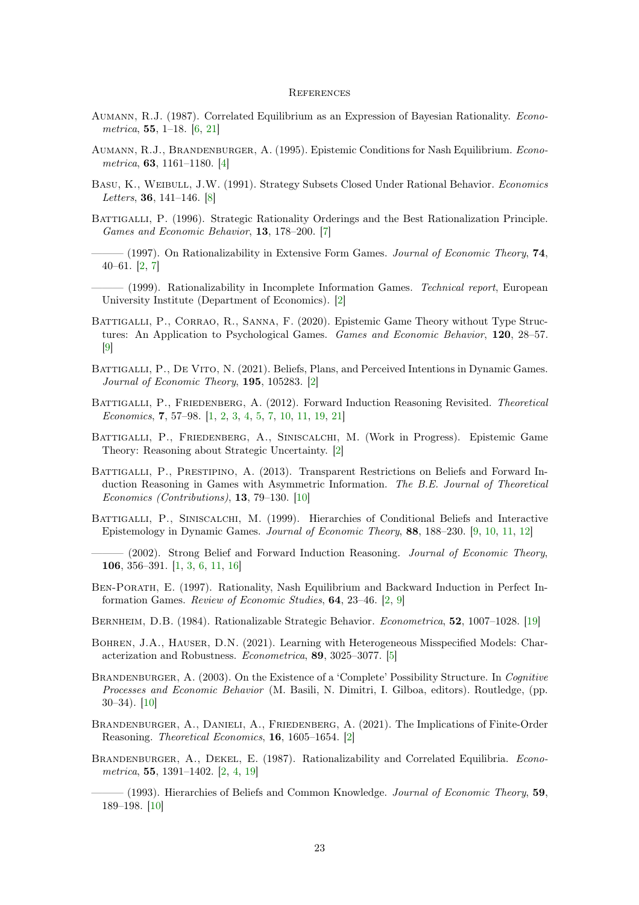#### **REFERENCES**

- <span id="page-22-11"></span>Aumann, R.J. (1987). Correlated Equilibrium as an Expression of Bayesian Rationality. Econometrica, 55, 1–18. [\[6,](#page-5-4) [21\]](#page-20-2)
- <span id="page-22-9"></span>Aumann, R.J., Brandenburger, A. (1995). Epistemic Conditions for Nash Equilibrium. Econometrica, 63, 1161–1180. [\[4\]](#page-3-1)
- <span id="page-22-13"></span>Basu, K., Weibull, J.W. (1991). Strategy Subsets Closed Under Rational Behavior. Economics Letters, 36, 141–146. [\[8\]](#page-7-4)
- <span id="page-22-12"></span>BATTIGALLI, P. (1996). Strategic Rationality Orderings and the Best Rationalization Principle. Games and Economic Behavior, 13, 178–200. [\[7\]](#page-6-4)
- <span id="page-22-2"></span> $-$  (1997). On Rationalizability in Extensive Form Games. Journal of Economic Theory, 74, 40–61. [\[2,](#page-1-5) [7\]](#page-6-4)
- <span id="page-22-4"></span>– (1999). Rationalizability in Incomplete Information Games. Technical report, European University Institute (Department of Economics). [\[2\]](#page-1-5)
- <span id="page-22-15"></span>BATTIGALLI, P., CORRAO, R., SANNA, F. (2020). Epistemic Game Theory without Type Structures: An Application to Psychological Games. Games and Economic Behavior, 120, 28–57. [\[9\]](#page-8-3)
- <span id="page-22-6"></span>BATTIGALLI, P., DE VITO, N. (2021). Beliefs, Plans, and Perceived Intentions in Dynamic Games. Journal of Economic Theory, 195, 105283. [\[2\]](#page-1-5)
- <span id="page-22-0"></span>BATTIGALLI, P., FRIEDENBERG, A. (2012). Forward Induction Reasoning Revisited. Theoretical Economics, 7, 57–98. [\[1,](#page-0-3) [2,](#page-1-5) [3,](#page-2-1) [4,](#page-3-1) [5,](#page-4-4) [7,](#page-6-4) [10,](#page-9-8) [11,](#page-10-6) [19,](#page-18-4) [21\]](#page-20-2)
- <span id="page-22-7"></span>Battigalli, P., Friedenberg, A., Siniscalchi, M. (Work in Progress). Epistemic Game Theory: Reasoning about Strategic Uncertainty. [\[2\]](#page-1-5)
- <span id="page-22-18"></span>BATTIGALLI, P., PRESTIPINO, A. (2013). Transparent Restrictions on Beliefs and Forward Induction Reasoning in Games with Asymmetric Information. The B.E. Journal of Theoretical Economics (Contributions), 13, 79–130. [\[10\]](#page-9-8)
- <span id="page-22-14"></span>BATTIGALLI, P., SINISCALCHI, M. (1999). Hierarchies of Conditional Beliefs and Interactive Epistemology in Dynamic Games. Journal of Economic Theory, 88, 188–230. [\[9,](#page-8-3) [10,](#page-9-8) [11,](#page-10-6) [12\]](#page-11-2)
- <span id="page-22-1"></span>(2002). Strong Belief and Forward Induction Reasoning. Journal of Economic Theory, 106, 356–391. [\[1,](#page-0-3) [3,](#page-2-1) [6,](#page-5-4) [11,](#page-10-6) [16\]](#page-15-5)
- <span id="page-22-5"></span>Ben-Porath, E. (1997). Rationality, Nash Equilibrium and Backward Induction in Perfect Information Games. Review of Economic Studies, 64, 23–46. [\[2,](#page-1-5) [9\]](#page-8-3)
- <span id="page-22-19"></span>Bernheim, D.B. (1984). Rationalizable Strategic Behavior. Econometrica, 52, 1007–1028. [\[19\]](#page-18-4)
- <span id="page-22-10"></span>Bohren, J.A., Hauser, D.N. (2021). Learning with Heterogeneous Misspecified Models: Characterization and Robustness. Econometrica, 89, 3025–3077. [\[5\]](#page-4-4)
- <span id="page-22-17"></span>BRANDENBURGER, A. (2003). On the Existence of a 'Complete' Possibility Structure. In Cognitive Processes and Economic Behavior (M. Basili, N. Dimitri, I. Gilboa, editors). Routledge, (pp. 30–34). [\[10\]](#page-9-8)
- <span id="page-22-8"></span>BRANDENBURGER, A., DANIELI, A., FRIEDENBERG, A. (2021). The Implications of Finite-Order Reasoning. Theoretical Economics, 16, 1605–1654. [\[2\]](#page-1-5)
- <span id="page-22-3"></span>BRANDENBURGER, A., DEKEL, E. (1987). Rationalizability and Correlated Equilibria. Econometrica, 55, 1391–1402. [\[2,](#page-1-5) [4,](#page-3-1) [19\]](#page-18-4)
- <span id="page-22-16"></span> $-$  (1993). Hierarchies of Beliefs and Common Knowledge. Journal of Economic Theory, 59, 189–198. [\[10\]](#page-9-8)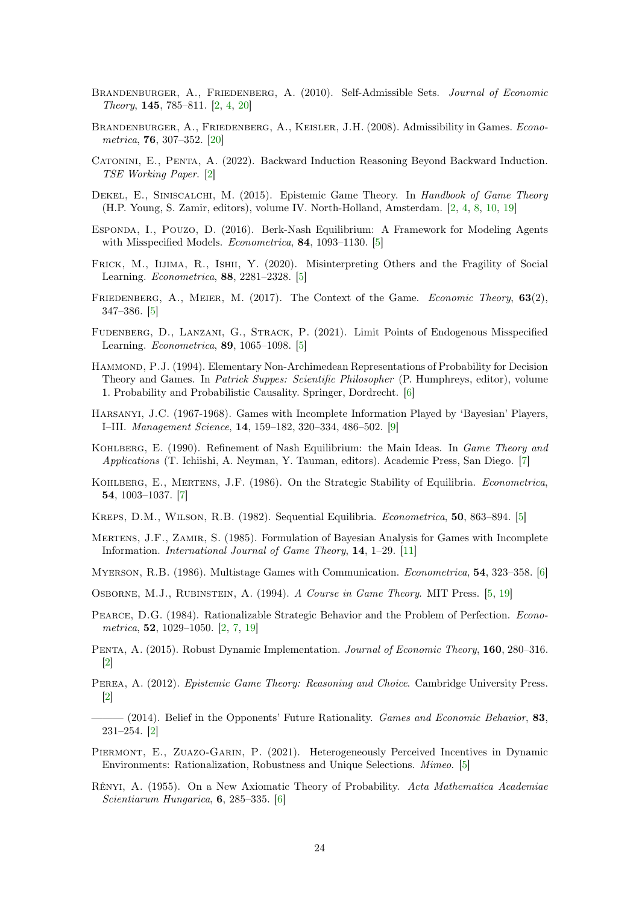- <span id="page-23-1"></span>BRANDENBURGER, A., FRIEDENBERG, A. (2010). Self-Admissible Sets. Journal of Economic Theory, 145, 785–811. [\[2,](#page-1-5) [4,](#page-3-1) [20\]](#page-19-3)
- <span id="page-23-21"></span>BRANDENBURGER, A., FRIEDENBERG, A., KEISLER, J.H. (2008). Admissibility in Games. Econometrica, 76, 307–352. [\[20\]](#page-19-3)
- <span id="page-23-4"></span>Catonini, E., Penta, A. (2022). Backward Induction Reasoning Beyond Backward Induction. TSE Working Paper. [\[2\]](#page-1-5)
- <span id="page-23-5"></span>DEKEL, E., SINISCALCHI, M. (2015). Epistemic Game Theory. In Handbook of Game Theory (H.P. Young, S. Zamir, editors), volume IV. North-Holland, Amsterdam. [\[2,](#page-1-5) [4,](#page-3-1) [8,](#page-7-4) [10,](#page-9-8) [19\]](#page-18-4)
- <span id="page-23-7"></span>Esponda, I., Pouzo, D. (2016). Berk-Nash Equilibrium: A Framework for Modeling Agents with Misspecified Models. Econometrica, 84, 1093–1130. [\[5\]](#page-4-4)
- <span id="page-23-8"></span>FRICK, M., IIJIMA, R., ISHII, Y. (2020). Misinterpreting Others and the Fragility of Social Learning. Econometrica, 88, 2281–2328. [\[5\]](#page-4-4)
- <span id="page-23-10"></span>FRIEDENBERG, A., MEIER, M. (2017). The Context of the Game. Economic Theory, 63(2), 347–386. [\[5\]](#page-4-4)
- <span id="page-23-9"></span>Fudenberg, D., Lanzani, G., Strack, P. (2021). Limit Points of Endogenous Misspecified Learning. Econometrica, 89, 1065–1098. [\[5\]](#page-4-4)
- <span id="page-23-16"></span>HAMMOND, P.J. (1994). Elementary Non-Archimedean Representations of Probability for Decision Theory and Games. In Patrick Suppes: Scientific Philosopher (P. Humphreys, editor), volume 1. Probability and Probabilistic Causality. Springer, Dordrecht. [\[6\]](#page-5-4)
- <span id="page-23-19"></span>Harsanyi, J.C. (1967-1968). Games with Incomplete Information Played by 'Bayesian' Players, I–III. Management Science, 14, 159–182, 320–334, 486–502. [\[9\]](#page-8-3)
- <span id="page-23-18"></span>KOHLBERG, E. (1990). Refinement of Nash Equilibrium: the Main Ideas. In *Game Theory and* Applications (T. Ichiishi, A. Neyman, Y. Tauman, editors). Academic Press, San Diego. [\[7\]](#page-6-4)
- <span id="page-23-17"></span>KOHLBERG, E., MERTENS, J.F. (1986). On the Strategic Stability of Equilibria. Econometrica, 54, 1003–1037. [\[7\]](#page-6-4)
- <span id="page-23-12"></span>KREPS, D.M., WILSON, R.B. (1982). Sequential Equilibria. *Econometrica*, **50**, 863–894. [\[5\]](#page-4-4)
- <span id="page-23-20"></span>MERTENS, J.F., ZAMIR, S. (1985). Formulation of Bayesian Analysis for Games with Incomplete Information. International Journal of Game Theory, 14, 1–29. [\[11\]](#page-10-6)
- <span id="page-23-15"></span>Myerson, R.B. (1986). Multistage Games with Communication. Econometrica, 54, 323–358. [\[6\]](#page-5-4)
- <span id="page-23-13"></span>OSBORNE, M.J., RUBINSTEIN, A. (1994). A Course in Game Theory. MIT Press. [\[5,](#page-4-4) [19\]](#page-18-4)
- <span id="page-23-0"></span>Pearce, D.G. (1984). Rationalizable Strategic Behavior and the Problem of Perfection. Econometrica, 52, 1029–1050. [\[2,](#page-1-5) [7,](#page-6-4) [19\]](#page-18-4)
- <span id="page-23-2"></span>Penta, A. (2015). Robust Dynamic Implementation. Journal of Economic Theory, 160, 280–316. [\[2\]](#page-1-5)
- <span id="page-23-6"></span>PEREA, A. (2012). *Epistemic Game Theory: Reasoning and Choice*. Cambridge University Press. [\[2\]](#page-1-5)
- <span id="page-23-3"></span> $-$  (2014). Belief in the Opponents' Future Rationality. Games and Economic Behavior, 83, 231–254. [\[2\]](#page-1-5)
- <span id="page-23-11"></span>PIERMONT, E., ZUAZO-GARIN, P. (2021). Heterogeneously Perceived Incentives in Dynamic Environments: Rationalization, Robustness and Unique Selections. Mimeo. [\[5\]](#page-4-4)
- <span id="page-23-14"></span>Rênyi, A. (1955). On a New Axiomatic Theory of Probability. Acta Mathematica Academiae Scientiarum Hungarica, 6, 285–335. [\[6\]](#page-5-4)